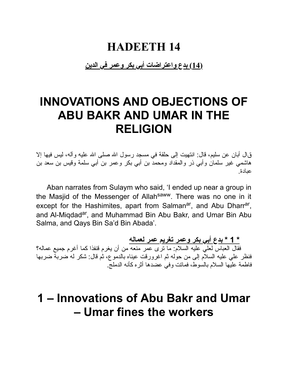#### **HADEETH 14**

**(14) بدع واعتراضات أبي بكر وعمر في الدین**

## **INNOVATIONS AND OBJECTIONS OF ABU BAKR AND UMAR IN THE RELIGION**

قال أبان عن سلیم، قال: انتهیت إلى حلقة في مسجد رسول الله صلى الله علیه وآله، لیس فیها إلا هاشمي غیر سلمان وأبي ذر والمقداد ومحمد بن أبي بكر وعمر بن أبي سلمة وقیس بن سعد بن عبادة.

Aban narrates from Sulaym who said, 'I ended up near a group in the Masjid of the Messenger of Allah<sup>saww</sup>. There was no one in it except for the Hashimites, apart from Salman<sup>ar</sup>, and Abu Dharr<sup>ar</sup>, and Al-Miqdad<sup>ar</sup>, and Muhammad Bin Abu Bakr, and Umar Bin Abu Salma, and Qays Bin Sa'd Bin Abada'.

**\* 1 \* بدع أبي بكر وعمر تغریم عمر لعماله** فقال العباس لعلي علیه السلام: ما ترى عمر منعه من أن یغرم قنفذا كما أغرم جمیع عماله؟ فنظر علي علیه السلام إلى من حوله ثم اغرورقت عیناه بالدموع، ثم قال: شكر له ضربة ضربها فاطمة علیها السلام بالسوط، فماتت وفي عضدها أثره كأنه الدملج.

#### **1 – Innovations of Abu Bakr and Umar – Umar fines the workers**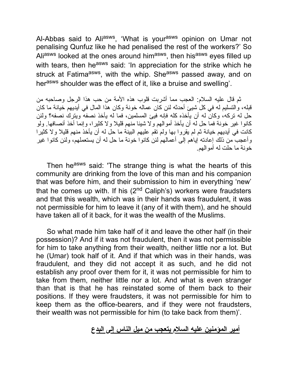Al-Abbas said to Ali<sup>asws</sup>, 'What is your<sup>asws</sup> opinion on Umar not penalising Qunfuz like he had penalised the rest of the workers?' So Ali<sup>asws</sup> looked at the ones around him<sup>asws</sup>, then his<sup>asws</sup> eyes filled up with tears, then he<sup>asws</sup> said: 'In appreciation for the strike which he struck at Fatima<sup>asws</sup>, with the whip. She<sup>asws</sup> passed away, and on herasws shoulder was the effect of it, like a bruise and swelling'.

ثم قال علیه السلام: العجب مما أشربت قلوب هذه الأمة من حب هذا الرجل وصاحبه من قبله، والتسلیم له في كل شیئ أحدثه لئن كان عماله خونة وكان هذا المال في أیدیهم خیانة ما كان حل له تركه، وكان له أن یأخذه كله فإنه فیئ المسلمین، فما له یأخذ نصفه ویترك نصفه؟ ولئن كانوا غیر خونة فما حل له أن یأخذ أموالهم ولا شیئا منهم قلیلا ولا كثیرا، وإنما أخذ أنصافها. ولو كانت في أیدیهم خیانة ثم لم یقروا بها ولم تقم علیهم البینة ما حل له أن یأخذ منهم قلیلا ولا كثیرا وأعجب من ذلك إعادته إیاهم إلى أعمالهم لئن كانوا خونة ما حل له أن یستعملهم، ولئن كانوا غیر خونة ما حلت له أموالهم.

Then he<sup>asws</sup> said: 'The strange thing is what the hearts of this community are drinking from the love of this man and his companion that was before him, and their submission to him in everything 'new' that he comes up with. If his  $(2^{nd}$  Caliph's) workers were fraudsters and that this wealth, which was in their hands was fraudulent, it was not permissible for him to leave it (any of it with them), and he should have taken all of it back, for it was the wealth of the Muslims.

So what made him take half of it and leave the other half (in their possession)? And if it was not fraudulent, then it was not permissible for him to take anything from their wealth, neither little nor a lot. But he (Umar) took half of it. And if that which was in their hands, was fraudulent, and they did not accept it as such, and he did not establish any proof over them for it, it was not permissible for him to take from them, neither little nor a lot. And what is even stranger than that is that he has reinstated some of them back to their positions. If they were fraudsters, it was not permissible for him to keep them as the office-bearers, and if they were not fraudsters, their wealth was not permissible for him (to take back from them)'.

#### **أمیر المؤمنین علیه السلام یتعجب من میل الناس إلى البدع**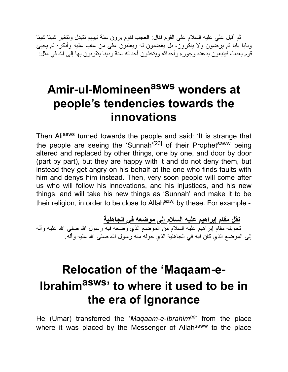ثم أقبل علي علیه السلام على القوم فقال: العجب لقوم یرون سنة نبیهم تتبدل وتتغیر شیئا شیئا وبابا بابا ثم یرضون ولا ینكرون، بل یغضبون له ویعتبون على من عاب علیه وأنكره ثم یجیئ قوم بعدنا، فیتبعون بدعته وجوره وأحداثه ویتخذون أحداثه سنة ودینا یتقربون بها إلى االله في مثل:

# **Amir-ul-Momineen asws wonders at people's tendencies towards the innovations**

Then Aliasws turned towards the people and said: 'It is strange that the people are seeing the 'Sunnah'<sup>[23]</sup> of their Prophet<sup>saww</sup> being altered and replaced by other things, one by one, and door by door (part by part), but they are happy with it and do not deny them, but instead they get angry on his behalf at the one who finds faults with him and denys him instead. Then, very soon people will come after us who will follow his innovations, and his injustices, and his new things, and will take his new things as 'Sunnah' and make it to be their religion, in order to be close to Allah $a$ <sup>2wj</sup> by these. For example -

**نقل مقام إبراهیم علیه السلام إلى موضعه في الجاهلیة** تحویله مقام إبراهیم علیه السلام من الموضع الذي وضعه فیه رسول االله صلى االله علیه وآله إلى الموضع الذي كان فیه في الجاهلیة الذي حوله منه رسول االله صلى االله علیه وآله.

# **Relocation of the 'Maqaam-e-Ibrahimasws ' to where it used to be in the era of Ignorance**

He (Umar) transferred the '*Maqaam-e-Ibrahimas*' from the place where it was placed by the Messenger of Allah<sup>saww</sup> to the place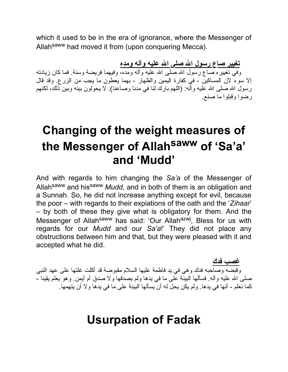which it used to be in the era of ignorance, where the Messenger of Allahsaww had moved it from (upon conquering Mecca).

**تغییر صاع رسول االله صلى االله علیه وآله ومده**

وفي تغییره صاع رسول االله صلى االله علیه وآله ومده، وفیهما فریضة وسنة. فما كان زیادته إلا سوء لأن المساكین - في كفارة الیمین والظهار - بهما یعطون ما یجب من الزرع. وقد قال رسول الله صلى الله علیه وآله: (اللهم بارك لنا في مدنا وصاعنا). لا یحولون بینه وبین ذلك، لكنهم رضوا وقبلوا ما صنع.

# **Changing of the weight measures of the Messenger of Allah saww of 'Sa'a' and 'Mudd'**

And with regards to him changing the *Sa'a* of the Messenger of Allahsaww and hissaww *Mudd*, and in both of them is an obligation and a Sunnah. So, he did not increase anything except for evil, because the poor – with regards to their expiations of the oath and the '*Zihaar*' – by both of these they give what is obligatory for them. And the Messenger of Allah<sup>saww</sup> has said: 'Our Allah<sup>azwj</sup>, Bless for us with regards for our *Mudd* and our *Sa'a*!' They did not place any obstructions between him and that, but they were pleased with it and accepted what he did.

**غصب فدك** وقبضه وصاحبه فدك وهي في ید فاطمة علیها السلام مقبوضة قد أكلت غلتها على عهد النبي صلـى الله علیه وآلـه. فسألـها البینّة علـى ما فـي یدها ولـم یصدقها ولا صدق أم أیمن. وهو یعلم یقینا -كما نعلم - أنها في یدها. ولم یكن یحل له أن یسألها البینة على ما في یدها ولا أن یتهمها.

#### **Usurpation of Fadak**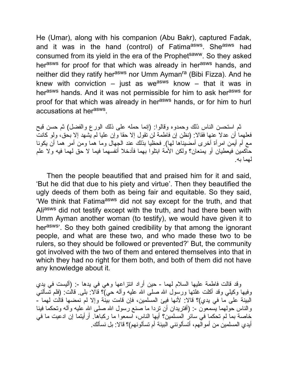He (Umar), along with his companion (Abu Bakr), captured Fadak, and it was in the hand (control) of Fatima<sup>asws</sup>. She<sup>asws</sup> had consumed from its yield in the era of the Prophetsaww. So they asked herasws for proof for that which was already in herasws hands, and neither did they ratify her<sup>asws</sup> nor Umm Ayman<sup>ra</sup> (Bibi Fizza). And he knew with conviction – just as we<sup>asws</sup> know – that it was in herasws hands. And it was not permissible for him to ask herasws for proof for that which was already in her<sup>asws</sup> hands, or for him to hurl accusations at her<sup>asws</sup>.

ثم استحسن الناس ذلك وحمدوه وقالوا: (إنما حمله على ذلك الورع والفضل) ثم حسن قبح فعلهما أن عدلا عنها فقالا: (نظن إن فاطمة لن تقول إلا حقا وإن علیا لم یشهد إلا بحق، ولو كانت مع أم أیمن امرأة أخرى أمضیناها لها). فحظیا بذلك عند الجهال وما هما ومن أمر هما أن یكونا حاكمین فیعطیان أو یمنعان؟ ولكن الأمة ابتلوا بهما فأدخلا أنفسهما فیما لا حق لهما فیه ولا علم لهما به.

Then the people beautified that and praised him for it and said, 'But he did that due to his piety and virtue'. Then they beautified the ugly deeds of them both as being fair and equitable. So they said, 'We think that Fatima<sup>asws</sup> did not say except for the truth, and that Aliasws did not testify except with the truth, and had there been with Umm Ayman another woman (to testify), we would have given it to herasws'. So they both gained credibility by that among the ignorant people, and what are these two, and who made these two to be rulers, so they should be followed or prevented?' But, the community got involved with the two of them and entered themselves into that in which they had no right for them both, and both of them did not have any knowledge about it.

وقد قالت فاطمة علیها السلام لهما - حین أراد انتزاعها وهي في یدها :- (ألیست في یدي وفیها وكیلی وقد أكلت غلتها ورسول الله صلى الله علیه وآله حي)؟ قالا: بلـي. قالت: (فلم تسألنـي البینة على ما في یدي)؟ قالا: لأنها فیئ المسلمین، فإن قامت بینة وإلا لم نمضها قالت لهما - والناس حولهما يسمعون -: (أفتريدان أن تردا ما صنع رسول الله صلى الله علیه وآله وتحكما فينا خاصة بما لم تحكما في سائر المسلمین؟ أیها الناس، اسمعوا ما ركباها. أرأیتما إن ادعیت ما في أیدي المسلمین من أموالهم، أتسألونني البینة أم تسألونهم)؟ قالا: بل نسألك.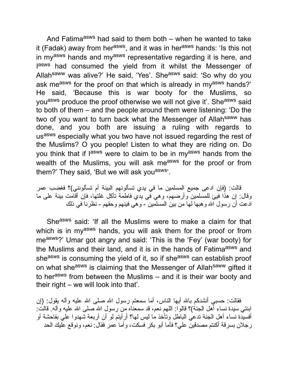And Fatima<sup>asws</sup> had said to them both – when he wanted to take it (Fadak) away from her<sup>asws</sup>, and it was in her<sup>asws</sup> hands: 'Is this not in my<sup>asws</sup> hands and my<sup>asws</sup> representative regarding it is here, and lasws had consumed the yield from it whilst the Messenger of Allah<sup>saww</sup> was alive?' He said, 'Yes'. She<sup>asws</sup> said: 'So why do you ask me<sup>asws</sup> for the proof on that which is already in my<sup>asws</sup> hands?' He said, 'Because this is war booty for the Muslims, so you<sup>asws</sup> produce the proof otherwise we will not give it'. She<sup>asws</sup> said to both of them – and the people around them were listening: 'Do the two of you want to turn back what the Messenger of Allah<sup>saww</sup> has done, and you both are issuing a ruling with regards to us<sup>asws</sup> especially what you two have not issued regarding the rest of the Muslims? O you people! Listen to what they are riding on. Do you think that if l<sup>asws</sup> were to claim to be in my<sup>asws</sup> hands from the wealth of the Muslims, you will ask measws for the proof or from them?' They said, 'But we will ask you<sup>asws</sup>'.

قالت: (فإن ادعى جمیع المسلمین ما في یدي تسألونهم البینة أم تسألونني)؟ فغضب عمر وقال: إن هذا فیئ للمسلمین وأرضهم، وهي في یدي فاطمة تأكل غلتها، فإن أقامت بینة على ما ادعت أن رسول الله و هبها لها من بین المسلَّمین - و هي فیئهم وحقهم - نظرنا في ذلك

Sheasws said: 'If all the Muslims were to make a claim for that which is in my<sup>asws</sup> hands, you will ask them for the proof or from measws?' Umar got angry and said: 'This is the 'Fey' (war booty) for the Muslims and their land, and it is in the hands of Fatima<sup>asws</sup> and sheasws is consuming the yield of it, so if sheasws can establish proof on what she<sup>asws</sup> is claiming that the Messenger of Allah<sup>saww</sup> gifted it to herasws from between the Muslims – and it is their war booty and their right – we will look into that'.

فقالت: حسبی أنشدكم بالله أیها الناس، أما سمعتم رسول الله صلَّى الله علیه وآله یقول: (إن ابنتي سیدة نساء أهل الجنة)؟ قالوا: اللهم نعم، قد سمعناه من رسول االله صلى االله علیه وآله. قالت: أفسیدة نساء أهل الجنة تدعي الباطل وتأخذ ما لیس لها؟ أرأیتم لو أن أربعة شهدوا علي بفاحشة أو رجلان بسرقة أكنتم مصدقین علي؟ فأما أبو بكر فسكت، وأما عمر فقال: نعم، ونوقع علیك الحد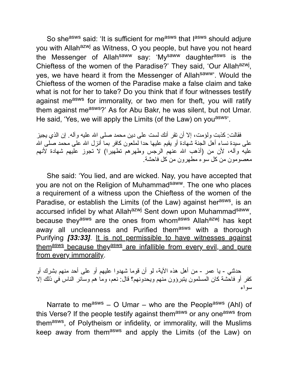So she<sup>asws</sup> said: 'It is sufficient for me<sup>asws</sup> that l<sup>asws</sup> should adjure you with Allah<sup>azwj</sup> as Witness, O you people, but have you not heard the Messenger of Allah<sup>saww</sup> say: 'My<sup>saww</sup> daughter<sup>asws</sup> is the Chieftess of the women of the Paradise?' They said, 'Our Allah<sup>azwj</sup>, yes, we have heard it from the Messenger of Allah<sup>saww</sup>'. Would the Chieftess of the women of the Paradise make a false claim and take what is not for her to take? Do you think that if four witnesses testify against measws for immorality, or two men for theft, you will ratify them against measws?' As for Abu Bakr, he was silent, but not Umar. He said, 'Yes, we will apply the Limits (of the Law) on you<sup>asws</sup>'.

فقالت: كذبت ولؤمت، إلا أن تقر أنك لست على دین محمد صلى االله علیه وآله. إن الذي یجیز على سیدة نساء أهل الجنة شهادة أو یقیم علیها حدا لملعون كافر بما أنزل االله على محمد صلى االله علیه وآله، لأن من (أذهب االله عنهم الرجس وطهرهم تطهیرا) لا تجوز علیهم شهادة لأنهم معصومون من كل سوء مطهرون من كل فاحشة.

She said: 'You lied, and are wicked. Nay, you have accepted that you are not on the Religion of Muhammad<sup>saww</sup>. The one who places a requirement of a witness upon the Chieftess of the women of the Paradise, or establish the Limits (of the Law) against her<sup>asws</sup>, is an accursed infidel by what Allah<sup>azwj</sup> Sent down upon Muhammad<sup>saww</sup>, because they<sup>asws</sup> are the ones from whom<sup>asws</sup> Allah<sup>azwj</sup> has kept away all uncleanness and Purified themasws with a thorough Purifying *[33:33]*. It is not permissible to have witnesses against them<sup>asws</sup> because they<sup>asws</sup> are infallible from every evil, and pure from every immorality.

حدثني - یا عمر - من أهل هذه الآیة، لو أن قوما شهدوا علیهم أو على أحد منهم بشرك أو كفر أو فاحشة كان المسلمون یتبرؤون منهم ویحدونهم؟ قال: نعم، وما هم وسائر الناس في ذلك إلا سواء

Narrate to measws  $-$  O Umar – who are the People<sup>asws</sup> (Ahl) of this Verse? If the people testify against themasws or any oneasws from them<sup>asws</sup>, of Polytheism or infidelity, or immorality, will the Muslims keep away from themasws and apply the Limits (of the Law) on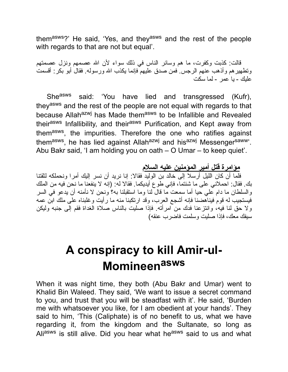themasws?' He said, 'Yes, and theyasws and the rest of the people with regards to that are not but equal'.

قالت: كذبت وكفرت، ما هم وسائر الناس في ذلك سواء لأن االله عصمهم ونزل عصمتهم وتطهیرهم وأذهب عنهم الرجس. فمن صدق علیهم فإنما یكذب االله ورسوله. فقال أبو بكر: أقسمت علیك - یا عمر - لما سكت

She<sup>asws</sup> said: 'You have lied and transgressed (Kufr), theyasws and the rest of the people are not equal with regards to that because Allah<sup>azwj</sup> has Made them<sup>asws</sup> to be Infallible and Revealed their<sup>asws</sup> Infallibility, and their<sup>asws</sup> Purification, and Kept away from them<sup>asws</sup>, the impurities. Therefore the one who ratifies against them<sup>asws</sup>, he has lied against Allah<sup>azwj</sup> and his<sup>azwj</sup> Messenger<sup>saww</sup>'. Abu Bakr said, 'I am holding you on oath – O Umar – to keep quiet'.

**مؤامرة قتل أمیر المؤمنین علیه السلام**

فلما أن كان اللیل أرسلا إلى خالد بن الولید فقالا: إنا نرید أن نسر إلیك أمرا ونحملكه لثقتنا بك. فقال: احملاني على ما شئتما، فإني طوع أیدیكما. فقالا له: (إنه لا ینفعنا ما نحن فیه من الملك والسلطان ما دام علي حیا أما سمعت ما قال لنا وما استقبلنا به؟ ونحن لا نأمنه أن یدعو في السر فیستجیب له قوم فیناهضنا فإنه أشجع العرب، وقد ارتكبنا منه ما رأیت وغلبناه على ملك ابن عمه ولا حق لنا فیه، وانتزعنا فدك من امرأته. فإذا صلیت بالناس صلاة الغداة فقم إلى جنبه ولیكن سیفك معك، فإذا صلیت وسلمت فاضرب عنقه)

## **A conspiracy to kill Amir-ul-Momineen asws**

When it was night time, they both (Abu Bakr and Umar) went to Khalid Bin Waleed. They said, 'We want to issue a secret command to you, and trust that you will be steadfast with it'. He said, 'Burden me with whatsoever you like, for I am obedient at your hands'. They said to him, 'This (Caliphate) is of no benefit to us, what we have regarding it, from the kingdom and the Sultanate, so long as Aliasws is still alive. Did you hear what he<sup>asws</sup> said to us and what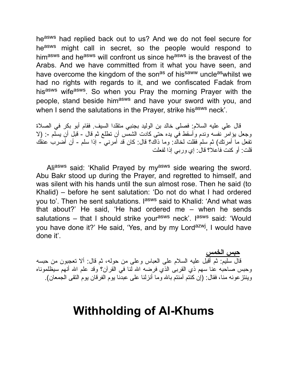heasws had replied back out to us? And we do not feel secure for he<sup>asws</sup> might call in secret, so the people would respond to himasws and heasws will confront us since heasws is the bravest of the Arabs. And we have committed from it what you have seen, and have overcome the kingdom of the son<sup>as</sup> of his<sup>saww</sup> uncleaswhilst we had no rights with regards to it, and we confiscated Fadak from his<sup>asws</sup> wife<sup>asws</sup>. So when you Pray the morning Prayer with the people, stand beside him<sup>asws</sup> and have your sword with you, and when I send the salutations in the Prayer, strike hisasws neck'.

قال علي علیه السلام: فصلى خالد بن الولید بجنبي متقلدا السیف. فقام أبو بكر في الصلاة وجعل یؤامر نفسه وندم وأسقط في یده حتى كادت الشمس أن تطلع ثم قال - قبل أن یسلم :- (لا تفعل ما أمرتك) ثم سلم فقلت لخالد: وما ذاك؟ قال: كان قد أمرني - إذا سلم - أن أضرب عنقك قلت: أو كنت فاعلا؟ قال: إي وربي إذا لفعلت

Aliasws said: 'Khalid Prayed by my<sup>asws</sup> side wearing the sword. Abu Bakr stood up during the Prayer, and regretted to himself, and was silent with his hands until the sun almost rose. Then he said (to Khalid) – before he sent salutation: 'Do not do what I had ordered you to'. Then he sent salutations. I<sup>asws</sup> said to Khalid: 'And what was that about?' He said, 'He had ordered me – when he sends salutations – that I should strike your<sup>asws</sup> neck'. I<sup>asws</sup> said: 'Would you have done it?' He said, 'Yes, and by my Lord<sup>azwj</sup>, I would have done it'.

**حبس الخمس** قال سلیم: ثم أقبل علیه السلام على العباس وعلى من حوله، ثم قال: ألا تعجبون من حبسه وحبس صاحبه عنا سهم ذي القربى الذي فرضه االله لنا في القرآن؟ وقد علم االله أنهم سیظلموناه وینتزعونه منا، فقال: (إن كنتم آمنتم باالله وما أنزلنا على عبدنا یوم الفرقان یوم التقى الجمعان).

#### **Withholding of Al-Khums**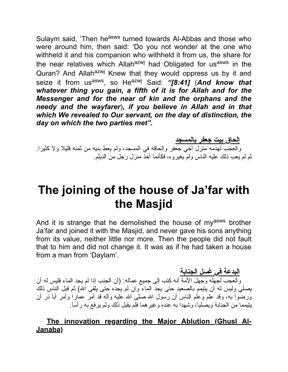Sulaym said, 'Then he<sup>asws</sup> turned towards Al-Abbas and those who were around him, then said: 'Do you not wonder at the one who withheld it and his companion who withheld it from us, the share for the near relatives which Allah<sup>azwj</sup> had Obligated for us<sup>asws</sup> in the Quran? And Allah<sup>azwj</sup> Knew that they would oppress us by it and seize it from us<sup>asws</sup>, so He<sup>azwj</sup> Said: *"[8:41] (And know that whatever thing you gain, a fifth of it is for Allah and for the Messenger and for the near of kin and the orphans and the needy and the wayfarer*)*, if you believe in Allah and in that which We revealed to Our servant, on the day of distinction, the day on which the two parties met".*

**إلحاق بیت جعفر بالمسجد**

والعجب لهدمه منزل أخي جعفر وإلحاقه في المسجد، ولم یعط بنیه من ثمنه قلیلا ولا كثیرا. ثم لم یعب ذلك علیه الناس ولم یغیروه، فكأنما أخذ منزل رجل من الدیلم.

## **The joining of the house of Ja'far with the Masjid**

And it is strange that he demolished the house of my<sup>asws</sup> brother Ja'far and joined it with the Masjid, and never gave his sons anything from its value, neither little nor more. Then the people did not fault that to him and did not change it. It was as if he had taken a house from a man from 'Daylam'.

**البدعة في غسل الجنابة**

والعجب لجهله وجهل الأمة أنه كتب إلى جمیع عماله: (أن الجنب إذا لم یجد الماء فلیس له أن یصلي ولیس له أن یتیمم بالصعید حتى یجد الماء وإن لم یجده حتى یلقى االله) ثم قبل الناس ذلك ورضوا به، وقد علم وعلم الناس أن رسول االله صلى االله علیه وآله قد أمر عمارا وأمر أبا ذر أن یتیمما من الجنابة ویصلیا، وشهدا به عنده وغیرهما فلم یقبل ذلك ولم یرفع به رأسا.

#### **The innovation regarding the Major Ablution (Ghusl Al-Janaba)**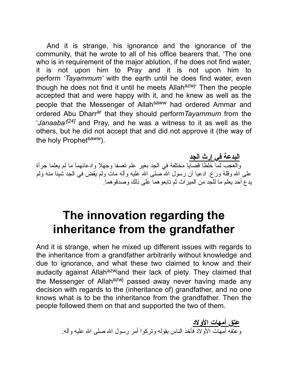And it is strange, his ignorance and the ignorance of the community, that he wrote to all of his office bearers that, 'The one who is in requirement of the major ablution, if he does not find water, it is not upon him to Pray and it is not upon him to perform *'Tayammum'* with the earth until he does find water, even though he does not find it until he meets Allah<sup>azwj</sup>' Then the people accepted that and were happy with it, and he knew as well as the people that the Messenger of Allah<sup>saww</sup> had ordered Ammar and ordered Abu Dharr<sup>ar</sup> that they should perform Tayammum from the '*Janaaba'[24]* and Pray, and he was a witness to it as well as the others, but he did not accept that and did not approve it (the way of the holy Prophet<sup>saww</sup>).

**البدعة في إرث الجد** والعجب لما خلطا قضایا مختلفة في الجد بغیر علم تعسفا وجهلا وادعائهما ما لم یعلما جرأة على الله وقلة ورع. ادعیا أن رسول الله صلى الله علیه وآله مات ولم یقض في الجد شیّنا منه ولم یدع أحد یعلم ما للجد من المیراث ثم تابعوهما على ذلك وصدقوهما.

#### **The innovation regarding the inheritance from the grandfather**

And it is strange, when he mixed up different issues with regards to the inheritance from a grandfather arbitrarily without knowledge and due to ignorance, and what these two claimed to know and their audacity against Allah<sup>azwj</sup>and their lack of piety. They claimed that the Messenger of Allah<sup>azwj</sup> passed away never having made any decision with regards to the (inheritance of) grandfather, and no one knows what is to be the inheritance from the grandfather. Then the people followed them on that and supported the two of them.

> **عتق أمهات الأولاد** وعتقه أمهات الأولاد فأخذ الناس بقوله وتركوا أمر رسول االله صلى االله علیه وآله.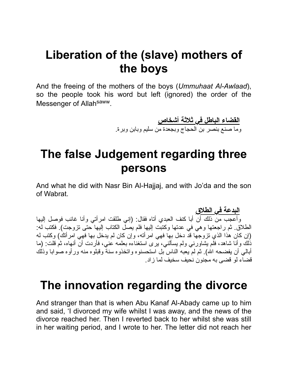## **Liberation of the (slave) mothers of the boys**

And the freeing of the mothers of the boys (*Ummuhaat Al-Awlaad*), so the people took his word but left (ignored) the order of the Messenger of Allah<sup>saww</sup>.

> **القضاء الباطل في ثلاثة أشخاص** وما صنع بنصر بن الحجاج وبجعدة من سلیم وبابن وبرة.

## **The false Judgement regarding three persons**

And what he did with Nasr Bin Al-Hajjaj, and with Jo'da and the son of Wabrat.

**البدعة في الطلاق** وأعجب من ذلك أن أبا كنف العبدي أتاه فقال: (إني طلقت امرأتي وأنا غائب فوصل إلیها الطلاق. ثم راجعتها وهي في عدتها وكتبت إلیها فلم یصل الكتاب إلیها حتى تزوجت). فكتب له: (إن كان هذا الذي تزوجها قد دخل بها فهي امرأته، وإن كان لم یدخل بها فهي امرأتك) وكتب له ذلك وأنا شاهد، فلم یشاورني ولم یسألني، یرى استغناءه بعلمه عني، فأردت أن أنهاه، ثم قلت: (ما أبالـي أن يفضحه الله). ثم لم يعبه الناس بل استحسنوه واتخذوه سنة وقبلوه منه ور أوه صوابا وذلك قضاء لو قضى به مجنون نحیف سخیف لما زاد.

#### **The innovation regarding the divorce**

And stranger than that is when Abu Kanaf Al-Abady came up to him and said, 'I divorced my wife whilst I was away, and the news of the divorce reached her. Then I reverted back to her whilst she was still in her waiting period, and I wrote to her. The letter did not reach her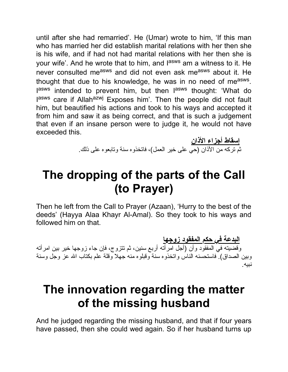until after she had remarried'. He (Umar) wrote to him, 'If this man who has married her did establish marital relations with her then she is his wife, and if had not had marital relations with her then she is your wife'. And he wrote that to him, and l<sup>asws</sup> am a witness to it. He never consulted measws and did not even ask measws about it. He thought that due to his knowledge, he was in no need of me<sup>asws</sup>. lasws intended to prevent him, but then lasws thought: 'What do lasws care if Allah<sup>azwj</sup> Exposes him'. Then the people did not fault him, but beautified his actions and took to his ways and accepted it from him and saw it as being correct, and that is such a judgement that even if an insane person were to judge it, he would not have exceeded this.

> **إسقاط أجزاء الأذان** ثم تركه من الأذان (حي على خیر العمل)، فاتخذوه سنة وتابعوه على ذلك.

## **The dropping of the parts of the Call (to Prayer)**

Then he left from the Call to Prayer (Azaan), 'Hurry to the best of the deeds' (Hayya Alaa Khayr Al-Amal). So they took to his ways and followed him on that.

**البدعة في حكم المفقود زوجها** وقضیته في المفقود وأن (أجل امرأته أربع سنین، ثم تتزوج، فإن جاء زوجها خیر بین امرأته وبین الصداق). فاستحسنه الناس واتخذوه سنة وقبلوه منه جهلا وقلة علم بكتاب االله عز وجل وسنة نبیه.

## **The innovation regarding the matter of the missing husband**

And he judged regarding the missing husband, and that if four years have passed, then she could wed again. So if her husband turns up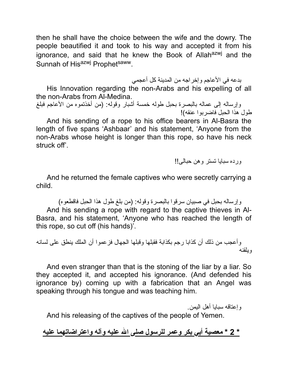then he shall have the choice between the wife and the dowry. The people beautified it and took to his way and accepted it from his ignorance, and said that he knew the Book of Allah<sup>azwj</sup> and the Sunnah of Hisazwj Prophetsaww.

بدعه في الأعاجم وإخراجه من المدینة كل أعجمي

His Innovation regarding the non-Arabs and his expelling of all the non-Arabs from Al-Medina.

وإرساله إلى عماله بالبصرة بحبل طوله خمسة أشبار وقوله: (من أخذتموه من الأعاجم فبلغ طول هذا الحبل فاضربوا عنقه)!

And his sending of a rope to his office bearers in Al-Basra the length of five spans 'Ashbaar' and his statement, 'Anyone from the non-Arabs whose height is longer than this rope, so have his neck struck off'.

ورده سبایا تستر وهن حبالى!!

And he returned the female captives who were secretly carrying a child.

وإرساله بحبل في صبیان سرقوا بالبصرة وقوله: (من بلغ طول هذا الحبل فاقطعوه) And his sending a rope with regard to the captive thieves in Al-Basra, and his statement, 'Anyone who has reached the length of this rope, so cut off (his hands)'.

وأعجب من ذلك أن كذابا رجم بكذابة فقبلها وقبلها الجهال فزعموا أن الملك ینطق على لسانه ویلقنه

And even stranger than that is the stoning of the liar by a liar. So they accepted it, and accepted his ignorance. (And defended his ignorance by) coming up with a fabrication that an Angel was speaking through his tongue and was teaching him.

وإعتاقه سبایا أهل الیمن.

And his releasing of the captives of the people of Yemen.

**\* 2 \* معصیة أبي بكر وعمر للرسول صلى االله علیه وآله واعتراضاتهما علیه**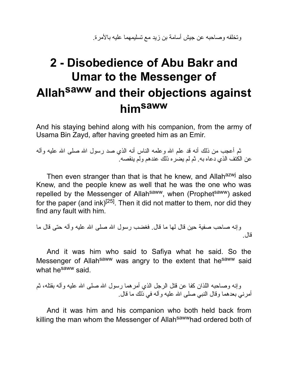وتخلفه وصاحبه عن جیش أسامة بن زید مع تسلیمهما علیه بالأمرة.

# **2 - Disobedience of Abu Bakr and Umar to the Messenger of Allah saww and their objections against himsaww**

And his staying behind along with his companion, from the army of Usama Bin Zayd, after having greeted him as an Emir.

ثم أعجب من ذلك أنه قد علم االله وعلمه الناس أنه الذي صد رسول االله صلى االله علیه وآله عن الكتف الذي دعاه به. ثم لم یضره ذلك عندهم ولم ینقصه.

Then even stranger than that is that he knew, and Allah<sup>azwj</sup> also Knew, and the people knew as well that he was the one who was repelled by the Messenger of Allah<sup>saww</sup>, when (Prophet<sup>saww</sup>) asked for the paper (and ink)<sup>[25]</sup>. Then it did not matter to them, nor did they find any fault with him.

```
وإنه صاحب صفیة حین قال لها ما قال. فغضب رسول االله صلى االله علیه وآله حتى قال ما
                                                                       قال.
```
And it was him who said to Safiya what he said. So the Messenger of Allah<sup>saww</sup> was angry to the extent that he<sup>saww</sup> said what he<sup>saww</sup> said.

وإنه وصاحبه اللذان كفا عن قتل الرجل الذي أمرهما رسول االله صلى االله علیه وآله بقتله، ثم أمرني بعدهما وقال النبي صلى االله علیه وآله في ذلك ما قال.

And it was him and his companion who both held back from killing the man whom the Messenger of Allahsawwhad ordered both of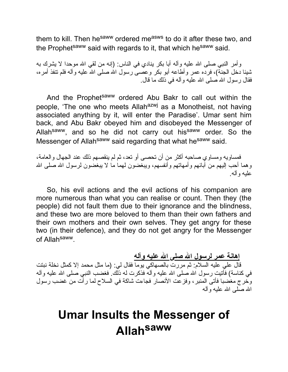them to kill. Then he<sup>saww</sup> ordered me<sup>asws</sup> to do it after these two, and the Prophet<sup>saww</sup> said with regards to it, that which he<sup>saww</sup> said.

وأمر النبي صلى الله عليه وأله أبا بكر ينادي في الناس: (إنه من لقي الله موحدا لا يشرك به شیئا دخل الجنة)، فرده عمر وأطاعه أبو بكر وعصى رسول االله صلى االله علیه وآله فلم تنفذ أمره، فقال رسول االله صلى االله علیه وآله في ذلك ما قال.

And the Prophet<sup>saww</sup> ordered Abu Bakr to call out within the people, 'The one who meets Allah<sup>azwj</sup> as a Monotheist, not having associated anything by it, will enter the Paradise'. Umar sent him back, and Abu Bakr obeyed him and disobeyed the Messenger of Allah<sup>saww</sup>, and so he did not carry out his<sup>saww</sup> order. So the Messenger of Allah<sup>saww</sup> said regarding that what he<sup>saww</sup> said.

فمساویه ومساوي صاحبه أكثر من أن تحصى أو تعد، ثم لم ینقصهم ذلك عند الجهال والعامة، وهما أحب إلیهم من آبائهم وأمهاتهم وأنفسهم، ویبغضون لهما ما لا یبغضون لرسول االله صلى االله علیه وآله.

So, his evil actions and the evil actions of his companion are more numerous than what you can realise or count. Then they (the people) did not fault them due to their ignorance and the blindness, and these two are more beloved to them than their own fathers and their own mothers and their own selves. They get angry for these two (in their defence), and they do not get angry for the Messenger of Allahsaww.

**إهانة عمر لرسول االله صلى االله علیه وآله** قال علي علیه السلام: ثم مررت بالصهاكي یوما فقال لي: (ما مثل محمد إلا كمثل نخلة نبتت في كناسة) فأَتيت رسول الله صلى الله علیه وآلـه فذكرت له ذلّك ِ فغضب النبـي صلـي الله علیه وآلـه وخرج مغضبا فأتى المنبر، وفزعت الأنصار فجاءت شاكة في السلاح لما رأت من غضب رسول االله صلى االله علیه وآله

## **Umar Insults the Messenger of Allah saww**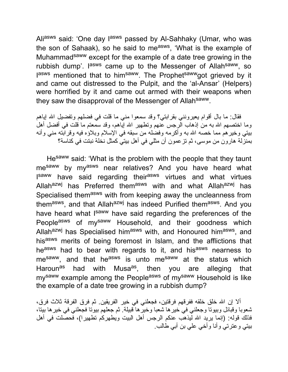Ali<sup>asws</sup> said: 'One day l<sup>asws</sup> passed by Al-Sahhaky (Umar, who was the son of Sahaak), so he said to me<sup>asws</sup>, 'What is the example of Muhammad<sup>saww</sup> except for the example of a date tree growing in the rubbish dump'. I<sup>asws</sup> came up to the Messenger of Allah<sup>saww</sup>, so lasws mentioned that to him<sup>saww</sup>. The Prophet<sup>saww</sup>got grieved by it and came out distressed to the Pulpit, and the 'al-Ansar' (Helpers) were horrified by it and came out armed with their weapons when they saw the disapproval of the Messenger of Allah<sup>saww</sup>.

فقال: ما بال أقوام یعیرونني بقرابتي؟ وقد سمعوا مني ما قلت في فضلهم وتفضیل االله إیاهم وما اختصـهم الله بـه من إذهاب الرجس عُنـهم وتطـهير الله إيّاهم، وقد سمعتم ما قلت فـي أفضل أهلُ بیتي وخیرهم مما خصه االله به وأكرمه وفضله من سبقه في الإسلام وبلاؤه فیه وقرابته مني وأنه بمنزلة هارون من موسى، ثم تزعمون أن مثلي في أهل بیتي كمثل نخلة نبتت في كناسة؟

He<sup>saww</sup> said: 'What is the problem with the people that they taunt mesaww by myasws near relatives? And you have heard what I<sup>saww</sup> have said regarding their<sup>asws</sup> virtues and what virtues Allah<sup>azwj</sup> has Preferred them<sup>asws</sup> with and what Allah<sup>azwj</sup> has Specialised them<sup>asws</sup> with from keeping away the uncleanness from them<sup>asws</sup>, and that Allah<sup>azwj</sup> has indeed Purified them<sup>asws</sup>. And you have heard what I<sup>saww</sup> have said regarding the preferences of the People<sup>asws</sup> of my<sup>saww</sup> Household, and their goodness which Allah<sup>azwj</sup> has Specialised him<sup>asws</sup> with, and Honoured him<sup>asws</sup>, and hisasws merits of being foremost in Islam, and the afflictions that heasws had to bear with regards to it, and hisasws nearness to me<sup>saww</sup>, and that he<sup>asws</sup> is unto me<sup>saww</sup> at the status which Haroun<sup>as</sup> had with Musa<sup>as</sup>, then you are alleging that my<sup>saww</sup> example among the People<sup>asws</sup> of my<sup>saww</sup> Household is like the example of a date tree growing in a rubbish dump?

ألا إن االله خلق خلقه ففرقهم فرقتین، فجعلني في خیر الفریقین. ثم فرق الفرقة ثلاث فرق، شعوبا وقبائل وبیوتا وجعلني في خیرها شعبا وخیرها قبیلة. ثم جعلهم بیوتا فجعلني في خیرها بیتا، فذلك قوله: (إنما یرید االله لیذهب عنكم الرجس أهل البیت ویطهركم تطهیرا)، فحصلت في أهل بیتي وعترتي وأنا وأخي علي بن أبي طالب.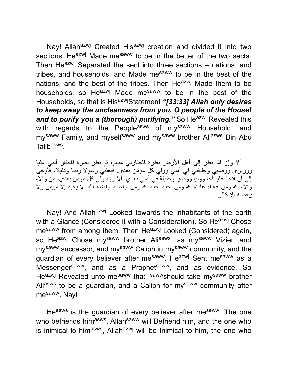Nay! Allah<sup>azwj</sup> Created His<sup>azwj</sup> creation and divided it into two sections. He<sup>azwj</sup> Made me<sup>saww</sup> to be in the better of the two sects. Then He<sup>azwj</sup> Separated the sect into three sections – nations, and tribes, and households, and Made me<sup>saww</sup> to be in the best of the nations, and the best of the tribes. Then He<sup>azwj</sup> Made them to be households, so He<sup>azwj</sup> Made me<sup>saww</sup> to be in the best of the Households, so that is HisazwjStatement *"[33:33] Allah only desires to keep away the uncleanness from you, O people of the House!* and to purify you a *(thorough) purifying.*" So He<sup>azwj</sup> Revealed this with regards to the People<sup>asws</sup> of my<sup>saww</sup> Household, and my<sup>saww</sup> Family, and myself<sup>saww</sup> and my<sup>saww</sup> brother Ali<sup>asws</sup> Bin Abu Talib<sup>asws</sup>.

ألا وإن االله نظر إلى أهل الأرض نظرة فاختارني منهم، ثم نظر نظرة فاختار أخي علیا ووزیري ووصیي وخلیفتي في أمتي وولي كل مؤمن بعدي. فبعثني رسولا ونبیا ودلیلا، فأوحى إلي أن أتخذ علیا أخا وولیا ووصیا وخلیفة في أمتي بعدي. ألا وإنه ولي كل مؤمن بعدي، من والاه وَالّاه الله ومن عاداه عاداه الله ومن أحبه أحبّه الله ومن أبغضه أبغضه الله. لا يحبه إلا مؤمن ولا یبغضه إلا كافر.

Nay! And Allah<sup>azwj</sup> Looked towards the inhabitants of the earth with a Glance (Considered it with a Consideration). So He<sup>azwj</sup> Chose me<sup>saww</sup> from among them. Then He<sup>azwj</sup> Looked (Considered) again, so He<sup>azwj</sup> Chose my<sup>saww</sup> brother Ali<sup>asws</sup>, as my<sup>saww</sup> Vizier, and my<sup>saww</sup> successor, and my<sup>saww</sup> Caliph in my<sup>saww</sup> community, and the guardian of every believer after mesaww. Heazwj Sent mesaww as a Messenger<sup>saww</sup>, and as a Prophet<sup>saww</sup>, and as evidence. So He<sup>azwj</sup> Revealed unto me<sup>saww</sup> that I<sup>saww</sup>should take my<sup>saww</sup> brother Aliasws to be a guardian, and a Caliph for mysaww community after mesaww. Nay!

Heasws is the guardian of every believer after mesaww. The one who befriends him<sup>asws</sup>, Allah<sup>saww</sup> will Befriend him, and the one who is inimical to him<sup>asws</sup>, Allah<sup>azwj</sup> will be Inimical to him, the one who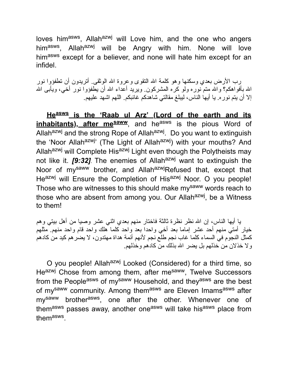loves him<sup>asws</sup>, Allah<sup>azwj</sup> will Love him, and the one who angers him<sup>asws</sup>, Allah<sup>azwj</sup> will be Angry with him. None will love himasws except for a believer, and none will hate him except for an infidel.

رب الأرض بعدي وسكنها وهو كلمة االله التقوى وعروة االله الوثقى. أتریدون أن تطفؤوا نور الله بأفواهكم؟ والله متمّ نوره ولو كره المشركون. ویرید أعداء الله أن یطّفؤوا نور أخـى، ویأبـى الله إلا أن یتم نوره. یا أیها الناس، لیبلغ مقالتي شاهدكم غائبكم. اللهم اشهد علیهم.

**Heasws is the 'Raab ul Arz' (Lord of the earth and its inhabitants), after mesaww**, and he<sup>asws</sup> is the pious Word of Allah<sup>azwj</sup> and the strong Rope of Allah<sup>azwj</sup>. Do you want to extinguish the 'Noor Allah<sup>azwj</sup>' (The Light of Allah<sup>azwj</sup>) with your mouths? And Allah<sup>azwj</sup> will Complete His<sup>azwj</sup> Light even though the Polytheists may not like it. *[9:32]*. The enemies of Allah<sup>azwj</sup> want to extinguish the Noor of mysaww brother, and AllahazwiRefused that, except that Heazwj will Ensure the Completion of Hisazwj Noor. O you people! Those who are witnesses to this should make my<sup>saww</sup> words reach to those who are absent from among you. Our Allah<sup>azwj</sup>, be a Witness to them!

یا أیها الناس، إن االله نظر نظرة ثالثة فاختار منهم بعدي اثني عشر وصیا من أهل بیتي وهم خیار أمتي منهم أحد عشر إماما بعد أخي واحدا بعد واحد كلما هلك واحد قام واحد منهم. مثلهم كمثل النجوم في السماء كلما غاب نجم طلع نجم لأنهم أئمة هداة مهتدون، لا یضرهم كید من كادهم ولا خذلان من خذلهم بل یضر االله بذلك من كادهم وخذلهم.

O you people! Allah<sup>azwj</sup> Looked (Considered) for a third time, so Heazwj Chose from among them, after mesaww, Twelve Successors from the People<sup>asws</sup> of my<sup>saww</sup> Household, and they<sup>asws</sup> are the best of mysaww community. Among themasws are Eleven Imamsasws after my<sup>saww</sup> brother<sup>asws</sup>, one after the other. Whenever one of them<sup>asws</sup> passes away, another one<sup>asws</sup> will take his<sup>asws</sup> place from them<sup>asws</sup>.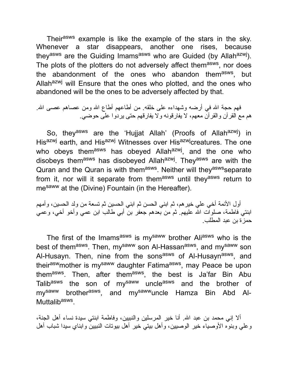Their<sup>asws</sup> example is like the example of the stars in the sky. Whenever a star disappears, another one rises, because they<sup>asws</sup> are the Guiding Imams<sup>asws</sup> who are Guided (by Allah<sup>azwj</sup>). The plots of the plotters do not adversely affect them<sup>asws</sup>, nor does the abandonment of the ones who abandon them<sup>asws</sup>, but Allah<sup>azwj</sup> will Ensure that the ones who plotted, and the ones who abandoned will be the ones to be adversely affected by that.

فهم حجة االله في أرضه وشهداءه على خلقه. من أطاعهم أطاع االله ومن عصاهم عصى االله. هم مع القرآن والقرآن معهم، لا یفارقونه ولا یفارقهم حتى یردوا على حوضي.

So, they<sup>asws</sup> are the 'Hujjat Allah' (Proofs of Allah<sup>azwj</sup>) in His<sup>azwj</sup> earth, and His<sup>azwj</sup> Witnesses over His<sup>azwj</sup>creatures. The one who obeys them<sup>asws</sup> has obeyed Allah<sup>azwj</sup>, and the one who disobeys them<sup>asws</sup> has disobeyed Allah<sup>azwj</sup>. They<sup>asws</sup> are with the Quran and the Quran is with them<sup>asws</sup>. Neither will they<sup>asws</sup>separate from it, nor will it separate from themasws until theyasws return to me<sup>saww</sup> at the (Divine) Fountain (in the Hereafter).

أول الأئمة أخي علي خیرهم، ثم ابني الحسن ثم ابني الحسین ثم تسعة من ولد الحسین، وأمهم ابنتي فاطمة، صلوات الله علیهم ً ثم من بعدهم جعفر بن أبي طالب ابن عمي وأخو أخي، وعمي حمزة بن عبد المطلب.

The first of the Imams<sup>asws</sup> is my<sup>saww</sup> brother Ali<sup>asws</sup> who is the best of them<sup>asws</sup>. Then, my<sup>saww</sup> son Al-Hassan<sup>asws</sup>, and my<sup>saww</sup> son Al-Husayn. Then, nine from the sons<sup>asws</sup> of Al-Husayn<sup>asws</sup>, and their<sup>asw</sup>mother is my<sup>saww</sup> daughter Fatima<sup>asws</sup>, may Peace be upon them<sup>asws</sup>. Then, after them<sup>asws</sup>, the best is Ja'far Bin Abu Talib<sup>asws</sup> the son of my<sup>saww</sup> uncle<sup>asws</sup> and the brother of my<sup>saww</sup> brother<sup>asws</sup>, and my<sup>saww</sup>uncle Hamza Bin Abd Al-Muttalib<sup>asws</sup>.

ألا إني محمد بن عبد االله. أنا خیر المرسلین والنبیین، وفاطمة ابنتي سیدة نساء أهل الجنة، وعلي وبنوه الأوصیاء خیر الوصیین، وأهل بیتي خیر أهل بیوتات النبیین وابناي سیدا شباب أهل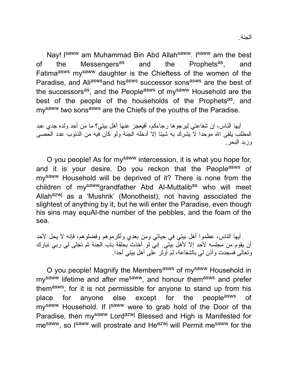Nay! I<sup>saww</sup> am Muhammad Bin Abd Allah<sup>saww</sup>. I<sup>saww</sup> am the best of the Messengers<sup>as</sup> and the Prophets<sup>as</sup>, , and Fatimaasws mysaww daughter is the Chieftess of the women of the Paradise, and Aliasws and hisasws successor sonsasws are the best of the successors<sup>as</sup>, and the People<sup>asws</sup> of my<sup>saww</sup> Household are the best of the people of the households of the Prophets<sup>as</sup>, and my<sup>saww</sup> two sons<sup>asws</sup> are the Chiefs of the youths of the Paradise.

أیها الناس، إن شفاعتي لیرجوها رجاءكم، أفیعجز عنها أهل بیتي؟ ما من أحد ولده جدي عبد المطلب یلقى الله موحدا لا یشرك به شیئا إلا أدخله الجنة ولو كان فیه من الذنوب عدد الحصى وزبد البحر.

O you people! As for mysaww intercession, it is what you hope for, and it is your desire. Do you reckon that the People<sup>asws</sup> of mysaww Household will be deprived of it? There is none from the children of my<sup>saww</sup>grandfather Abd Al-Muttalib<sup>as</sup> who will meet Allah<sup>azwj</sup> as a 'Mushrik' (Monotheist), not having associated the slightest of anything by it, but he will enter the Paradise, even though his sins may equAl-the number of the pebbles, and the foam of the sea.

أیها الناس، عظموا أهل بیتي في حیاتي ومن بعدي وأكرموهم وفضلوهم، فإنه لا یحل لأحد أن یقوم من مجلسه لأحد إلا لأهل بیتي. إني لو أخذت بحلقة باب الجنة ثم تجلى لي ربي تبارك وتعالى فسجدت وأذن لي بالشفاعة، لم أوثر على أهل بیتي أحدا.

O you people! Magnify the Members<sup>asws</sup> of my<sup>saww</sup> Household in my<sup>saww</sup> lifetime and after me<sup>saww</sup>, and honour them<sup>asws</sup> and prefer them<sup>asws</sup>, for it is not permissible for anyone to stand up from his place for anyone else except for the people<sup>asws</sup> of my<sup>saww</sup> Household. If I<sup>saww</sup> were to grab hold of the Door of the Paradise, then my<sup>saww</sup> Lord<sup>azwj</sup> Blessed and High is Manifested for me<sup>saww</sup>, so I<sup>saww</sup> will prostrate and He<sup>azwj</sup> will Permit me<sup>saww</sup> for the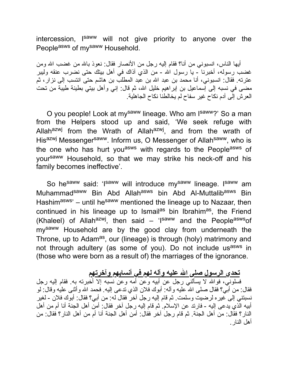intercession, I<sup>saww</sup> will not give priority to anyone over the Peopleasws of mysaww Household.

أیها الناس، انسبوني من أنا؟ فقام إلیه رجل من الأنصار فقال: نعوذ باالله من غضب االله ومن غضب رسوله، أخبرنا - یا رسول االله - من الذي آذاك في أهل بیتك حتى نضرب عنقه ولیبر عترته. فقال: انسبوني، أنا محمد بن عبد الله بن عبد المطلب بن هاشم حتى انتسب إلى نزار، ثم مضى في نسبه إلى إسماعیل بن إبراهیم خلیل االله، ثم قال: إني وأهل بیتي بطینة طیبة من تحت العرش إلى آدم نكاح غیر سفاح لم یخالطنا نكاح الجاهلیة.

O you people! Look at my<sup>saww</sup> lineage. Who am I<sup>saww</sup>?' So a man from the Helpers stood up and said, 'We seek refuge with Allah<sup>azwj</sup> from the Wrath of Allah<sup>azwj</sup>, and from the wrath of Hisazwj Messenger<sup>saww</sup>. Inform us, O Messenger of Allah<sup>saww</sup>, who is the one who has hurt you<sup>asws</sup> with regards to the People<sup>asws</sup> of yoursaww Household, so that we may strike his neck-off and his family becomes ineffective'.

So he<sup>saww</sup> said: 'I<sup>saww</sup> will introduce my<sup>saww</sup> lineage. I<sup>saww</sup> am Muhammad<sup>saww</sup> Bin Abd Allah<sup>asws</sup> bin Abd Al-Muttalib<sup>asws</sup> Bin Hashim<sup>asws</sup>' – until he<sup>saww</sup> mentioned the lineage up to Nazaar, then continued in his lineage up to Ismail<sup>as</sup> bin Ibrahim<sup>as</sup>, the Friend (Khaleel) of Allah<sup>azwj</sup>, then said – 'I<sup>saww</sup> and the People<sup>asws</sup>of mysaww Household are by the good clay from underneath the Throne, up to Adam<sup>as</sup>, our (lineage) is through (holy) matrimony and not through adultery (as some of you). Do not include usasws in (those who were born as a result of) the marriages of the ignorance.

#### **تحدي الرسول صلى االله علیه وآله لهم في أنسابهم وآخرتهم**

فسلوني، فواالله لا یسألني رجل عن أبیه وعن أمه وعن نسبه إلا أخبرته به. فقام إلیه رجل فقال: من أببي؟ فقال صلى الله علیه وآله: أبوك فلان الذي ندعى إلیه. فحمد الله وأثنـي علیه وقال: لو نسبتني إلى غیره لرضیت وسلمت. ثم قام إلیه رجل آخر فقال له: من أبي؟ فقال: أبوك فلان - لغیر أبیه الذي یدعى إلیه - فارتد عن الإسلام. ثم قام إلیه رجل آخر فقال: أمن أهل الجنة أنا أم من أهل النار؟ فقال: من أهل الجنة. ثم قام رجل آخر فقال: أمن أهل الجنة أنا أم من أهل النار؟ فقال: من أهل النار.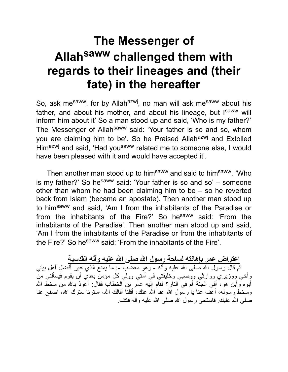# **The Messenger of Allah saww challenged them with regards to their lineages and (their fate) in the hereafter**

So, ask me<sup>saww</sup>, for by Allah<sup>azwj</sup>, no man will ask me<sup>saww</sup> about his father, and about his mother, and about his lineage, but Isaww will inform him about it' So a man stood up and said, 'Who is my father?' The Messenger of Allah<sup>saww</sup> said: 'Your father is so and so, whom you are claiming him to be'. So he Praised Allah<sup>azwj</sup> and Extolled Himazwj and said, 'Had yousaww related me to someone else, I would have been pleased with it and would have accepted it'.

Then another man stood up to him<sup>saww</sup> and said to him<sup>saww</sup>, 'Who is my father?' So he saw said: 'Your father is so and so'  $-$  someone other than whom he had been claiming him to be – so he reverted back from Islam (became an apostate). Then another man stood up to himsaww and said, 'Am I from the inhabitants of the Paradise or from the inhabitants of the Fire?' So hesaww said: 'From the inhabitants of the Paradise'. Then another man stood up and said, 'Am I from the inhabitants of the Paradise or from the inhabitants of the Fire?' So hesaww said: 'From the inhabitants of the Fire'.

**اعتراض عمر بإهانته لساحة رسول االله صلى االله علیه وآله القدسیة** ثم قال رسول الله صلى الله علیه وأله - وهو مغضب -: ما یمنع الذي عیر أفضل أهل بیتي وأخي ووزیري ووارثي ووصیي وخلیفتي في أمتي وولي كل مؤمن بعدي أن یقوم فیسألني من أبوه وأين هو، أفي الجنَّة أم في النار؟ فقام إلَيه عمر بن الخطاب فقال: أعوذ بالله من سخط الله وسخط رسوله، أعف عنا یا رسول الله عفا الله عنك، أقلنا أقالك الله، استرنا سترك الله، اصفح عنا صلى االله علیك. فاستحى رسول االله صلى االله علیه وآله فكف.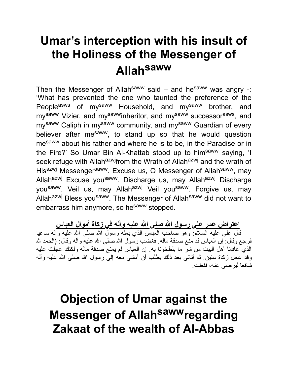# **Umar's interception with his insult of the Holiness of the Messenger of Allah saww**

Then the Messenger of Allah<sup>saww</sup> said – and he<sup>saww</sup> was angry -: 'What has prevented the one who taunted the preference of the People<sup>asws</sup> of my<sup>saww</sup> Household, and my<sup>saww</sup> brother, and my<sup>saww</sup> Vizier, and my<sup>saww</sup>inheritor, and my<sup>saww</sup> successor<sup>asws</sup>, and my<sup>saww</sup> Caliph in my<sup>saww</sup> community, and my<sup>saww</sup> Guardian of every believer after me<sup>saww</sup>, to stand up so that he would question me<sup>saww</sup> about his father and where he is to be, in the Paradise or in the Fire?' So Umar Bin Al-Khattab stood up to himsaww saying, 'I seek refuge with Allah<sup>azwj</sup>from the Wrath of Allah<sup>azwj</sup> and the wrath of His<sup>azwj</sup> Messenger<sup>saww</sup>. Excuse us, O Messenger of Allah<sup>saww</sup>, may Allahazwj Excuse yousaww. Discharge us, may Allahazwj Discharge yousaww. Veil us, may Allahazwi Veil yousaww. Forgive us, may Allahazwj Bless yousaww. The Messenger of Allahsaww did not want to embarrass him anymore, so he<sup>saww</sup> stopped.

**اعتراض عمر على رسول االله صلى االله علیه وآله في زكاة أموال العباس** قال علي علیه السلام: وهو صاحب العباس الذي بعثه رسول االله صلى االله علیه وآله ساعیا فرجع وقال: إن العباس قد منع صدقة ماله. فغضب رسول الله صلى الله علیه وآله وقال: (الحمد لله الذي عافانا أهل البیت من شر ما یلطخونا به. إن العباس لم یمنع صدقة ماله ولكنك عجلت علیه وقد عجل زكاة سنین. ثم أنانـي بـعد ذلك یطلب أن أمشـي مـعه إلـى رسول الله صلـى الله علیه وآلـه شافعا لیرضى عنه، ففعلت.

**Objection of Umar against the Messenger of Allah sawwregarding Zakaat of the wealth of Al-Abbas**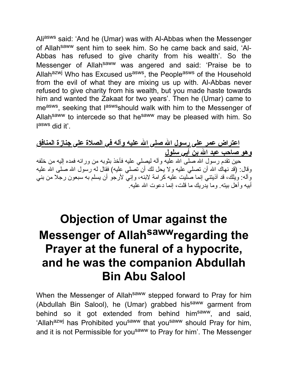Aliasws said: 'And he (Umar) was with Al-Abbas when the Messenger of Allahsaww sent him to seek him. So he came back and said, 'Al-Abbas has refused to give charity from his wealth'. So the Messenger of Allah<sup>saww</sup> was angered and said: 'Praise be to Allah<sup>azwj</sup> Who has Excused us<sup>asws</sup>, the People<sup>asws</sup> of the Household from the evil of what they are mixing us up with. Al-Abbas never refused to give charity from his wealth, but you made haste towards him and wanted the Zakaat for two years'. Then he (Umar) came to me<sup>asws</sup>, seeking that l<sup>asws</sup>should walk with him to the Messenger of Allah<sup>saww</sup> to intercede so that he<sup>saww</sup> may be pleased with him. So I asws did it'.

**اعتراض عمر على رسول االله صلى االله علیه وآله في الصلاة على جنازة المنافق وهو صاحب عبد االله بن أبي سلول** حین تقدم رسول الله صلَّى الله علیه وآله لیصلی علیه فأخذ بثوبه من ورائه فمده إلیه من خلفه وقال: (قد نـهاك الله أن تصلـى علیـه ولا یـحل لك أن تصلـى علیـه) فقال لـه رسول الله صلـى الله علیـه وآله: ویلك، قد آذیتني إنما صلیت علیه كرامة لابنه، وإني لأرجو أن یسلم به سبعون رجلا من بني أبیه وأهل بیته. وما یدریك ما قلت، إنما دعوت االله علیه.

# **Objection of Umar against the Messenger of Allah sawwregarding the Prayer at the funeral of a hypocrite, and he was the companion Abdullah Bin Abu Salool**

When the Messenger of Allah<sup>saww</sup> stepped forward to Pray for him (Abdullah Bin Salool), he (Umar) grabbed his<sup>saww</sup> garment from behind so it got extended from behind him<sup>saww</sup>, and said, 'Allah<sup>azwj</sup> has Prohibited you<sup>saww</sup> that you<sup>saww</sup> should Pray for him, and it is not Permissible for you<sup>saww</sup> to Pray for him'. The Messenger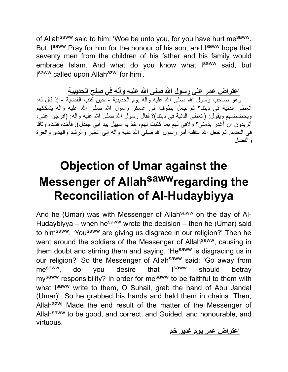of Allah<sup>saww</sup> said to him: 'Woe be unto you, for you have hurt me<sup>saww</sup>. But, I<sup>saww</sup> Pray for him for the honour of his son, and I<sup>saww</sup> hope that seventy men from the children of his father and his family would embrace Islam. And what do you know what I<sup>saww</sup> said, but I<sup>saww</sup> called upon Allah<sup>azwj</sup> for him'.

**اعتراض عمر على رسول االله صلى االله علیه وآله في صلح الحدیبیة**

وهو صاحب رسول الله صلى الله علیه وأله یوم الحدیبیة - حین كتب القضیة - إذ قال له: أنعطي الدنیة في دیننا؟ ثم جعل یطوف في عسكر رسول االله صلى االله علیه وآله یشككهم ویحضضهم ویقول: (أنعطي الدنیة في دیننا)؟ فقال رسول االله صلى االله علیه وآله: (افرجوا عني، أتریدون أن أغدر بذمتي؟ ولأفي لهم بما كتبت لهم، خذ یا سهیل بید أبي جندل). فأخذه فشده وثاقا في الحدید ِ ثم جعل الله عاقبة أمَّر رسول الله صلَّى الله علیه وآله إلى الخَیر والرَّشد والهدى والعزة والفضل

# **Objection of Umar against the Messenger of Allah sawwregarding the Reconciliation of Al-Hudaybiyya**

And he (Umar) was with Messenger of Allah<sup>saww</sup> on the day of Al-Hudaybiyya – when hesaww wrote the decision – then he (Umar) said to him<sup>saww</sup>, 'You<sup>saww</sup> are giving us disgrace in our religion?' Then he went around the soldiers of the Messenger of Allah<sup>saww</sup>, causing in them doubt and stirring them and saying, 'He<sup>saww</sup> is disgracing us in our religion?' So the Messenger of Allahsaww said: 'Go away from mesaww, do you desire that Isaww should betray my<sup>saww</sup> responsibility? In order for me<sup>saww</sup> to be faithful to them with what I<sup>saww</sup> write to them, O Suhail, grab the hand of Abu Jandal (Umar)'. So he grabbed his hands and held them in chains. Then, Allah<sup>azwj</sup> Made the end result of the matter of the Messenger of Allah<sup>saww</sup> to be good, and correct, and Guided, and honourable, and virtuous.

#### **اعتراض عمر یوم غدیر خم**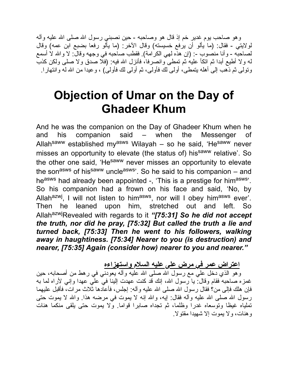وهو صاحب یوم غدیر خم إذ قال هو وصاحبه - حین نصبني رسول االله صلى االله علیه وآله لولایتي - فقال: (ما یألو أن یرفع خسیسته) وقال الآخر: (ما یألو رفعا بضبع ابن عمه) وقال لصاحبه - وأنا منصوب -: (إن هذه لهي الكرامة). فقطب صاحبه في وجهه وقال: لا والله لا أسمع له ولا أطیع أبدا ثم اتكأ علیه ثم تمطى وانصرفا، فأنزل االله فیه: (فلا صدق ولا صلى ولكن كذب وتولى ثم ذهب إلى أهله یتمطى، أولى لك فأولى، ثم أولى لك فأولى) ، وعیدا من االله له وانتهارا.

## **Objection of Umar on the Day of Ghadeer Khum**

And he was the companion on the Day of Ghadeer Khum when he and his companion said – when the Messenger of Allah<sup>saww</sup> established my<sup>asws</sup> Wilayah – so he said, 'He<sup>saww</sup> never misses an opportunity to elevate (the status of) his<sup>saww</sup> relative'. So the other one said, 'Hesaww never misses an opportunity to elevate the son<sup>asws</sup> of his<sup>saww</sup> uncle<sup>asws</sup>'. So he said to his companion – and heasws had already been appointed -, 'This is a prestige for himasws'. So his companion had a frown on his face and said, 'No, by Allah<sup>azwj</sup>, I will not listen to him<sup>asws</sup>, nor will I obey him<sup>asws</sup> ever'. Then he leaned upon him, stretched out and left. So AllahazwjRevealed with regards to it *"[75:31] So he did not accept the truth, nor did he pray, [75:32] But called the truth a lie and turned back, [75:33] Then he went to his followers, walking away in haughtiness. [75:34] Nearer to you (is destruction) and nearer, [75:35] Again (consider how) nearer to you and nearer."*

**اعتراض عمر في مرض على علیه السلام واستهزاءه**

وهو الذي دخل علي مع رسول االله صلى االله علیه وآله یعودني في رهط من أصحابه، حین غمزه صاحبه فقام وقال: یا رسول االله، إنك قد كنت عهدت إلینا في علي عهدا وإني لأراه لما به فإن هلك فإلى من؟ فقال رسول الله صلى الله علیه وآله: إجلس، فأعادها ثلاث مرات، فأقبل علیهما رسول الله صلى الله علیه وأله فقال: إیه، والله إنه لا یموت في مرضه هذا. والله لا یموت حتى تملیاه غیظا وتوسعاه غدرا وظلما، ثم تجداه صابرا قواما. ولا یموت حتى یلقى منكما هنات وهنات، ولا یموت إلا شهیدا مقتولا.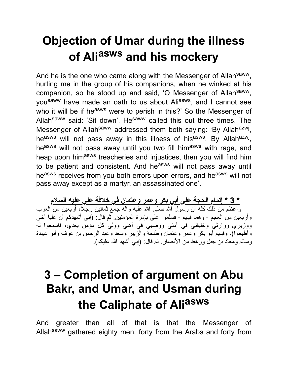# **Objection of Umar during the illness of Ali asws and his mockery**

And he is the one who came along with the Messenger of Allahsaww, hurting me in the group of his companions, when he winked at his companion, so he stood up and said, 'O Messenger of Allahsaww, you<sup>saww</sup> have made an oath to us about Ali<sup>asws</sup>, and I cannot see who it will be if he<sup>asws</sup> were to perish in this?' So the Messenger of Allah<sup>saww</sup> said: 'Sit down'. He<sup>saww</sup> called this out three times. The Messenger of Allah<sup>saww</sup> addressed them both saying: 'By Allah<sup>azwj</sup>, he<sup>asws</sup> will not pass away in this illness of his<sup>asws</sup>. By Allah<sup>azwj</sup>, heasws will not pass away until you two fill himasws with rage, and heap upon him<sup>asws</sup> treacheries and injustices, then you will find him to be patient and consistent. And he<sup>asws</sup> will not pass away until heasws receives from you both errors upon errors, and heasws will not pass away except as a martyr, an assassinated one'.

**\* 3 \* إتمام الحجة على أبي بكر وعمر وعثمان في خلافة علي علیه السلام** وأعظم من ذلك كله أن رسول االله صلى االله علیه وآله جمع ثمانین رجلا، أربعین من العرب وأربعین من العجم - وهما فیهم - فسلموا علي بإمرة المؤمنین. ثم قال: (إني أشهدكم أن علیا أخي ووزیري ووارثي وخلیفتي في أمتي ووصیي في أهلي وولي كل مؤمن بعدي، فاسمعوا له وأطیعوا)، وفیهم أبو بكر وعمر وعثمان وطلحة والزبیر وسعد وعبد الرحمن بن عوف وأبو عبیدة وسالم ومعاذ بن جبل ورهط من الأنصار. ثم قال: (إني أشهد االله علیكم).

# **3 – Completion of argument on Abu Bakr, and Umar, and Usman during the Caliphate of Ali asws**

And greater than all of that is that the Messenger of Allahsaww gathered eighty men, forty from the Arabs and forty from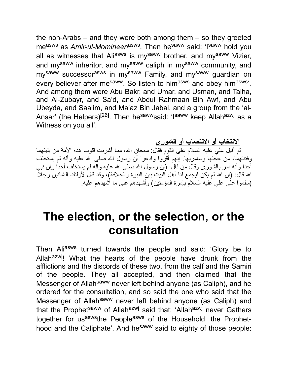the non-Arabs – and they were both among them – so they greeted measws as *Amir-ul-Momineen*asws . Then hesaww said: 'Isaww hold you all as witnesses that Ali<sup>asws</sup> is my<sup>saww</sup> brother, and my<sup>saww</sup> Vizier, and my<sup>saww</sup> inheritor, and my<sup>saww</sup> caliph in my<sup>saww</sup> community, and my<sup>saww</sup> successor<sup>asws</sup> in my<sup>saww</sup> Family, and my<sup>saww</sup> guardian on every believer after me<sup>saww</sup>. So listen to him<sup>asws</sup> and obey him<sup>asws</sup>'. And among them were Abu Bakr, and Umar, and Usman, and Talha, and Al-Zubayr, and Sa'd, and Abdul Rahmaan Bin Awf, and Abu Ubeyda, and Saalim, and Ma'az Bin Jabal, and a group from the 'al-Ansar' (the Helpers)<sup>[26]</sup>. Then he<sup>saww</sup>said: 'I<sup>saww</sup> keep Allah<sup>azwj</sup> as a Witness on you all'.

**الانتخاب أو الانتصاب أو الشورى**

ثم أقبل علي علیه السلام على القوم فقال: سبحان االله، مما أشربت قلوب هذه الأمة من بلیتهما وفتنتهما، من عجلها وسامریها. إنهم أقروا وادعوا أن رسول االله صلى االله علیه وآله لم یستخلف أحدا وأنه أمر بالشورى وقال من قال: (إن رسول االله صلى االله علیه وآله لم یستخلف أحدا وإن نبي الله قال: (إن الله لم يكن ليجمع لنا أهل البيت بين النبوة والخلافة)، وقد قال لأولئك الثمانين رجلاً: (سلموا على علي علیه السلام بإمرة المؤمنین) وأشهدهم على ما أشهدهم علیه.

## **The election, or the selection, or the consultation**

Then Aliasws turned towards the people and said: 'Glory be to Allah<sup>azwj</sup>! What the hearts of the people have drunk from the afflictions and the discords of these two, from the calf and the Samiri of the people. They all accepted, and then claimed that the Messenger of Allah<sup>saww</sup> never left behind anyone (as Caliph), and he ordered for the consultation, and so said the one who said that the Messenger of Allah<sup>saww</sup> never left behind anyone (as Caliph) and that the Prophet<sup>saww</sup> of Allah<sup>azwj</sup> said that: 'Allah<sup>azwj</sup> never Gathers together for us<sup>asws</sup>the People<sup>asws</sup> of the Household, the Prophethood and the Caliphate'. And he<sup>saww</sup> said to eighty of those people: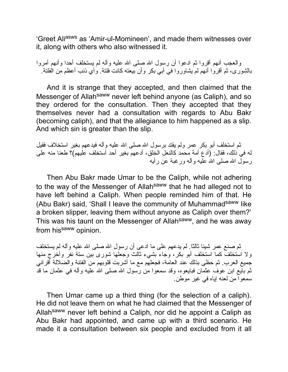'Greet Ali<sup>asws</sup> as 'Amir-ul-Momineen', and made them witnesses over it, along with others who also witnessed it.

والعجب أنهم أقروا ثم ادعوا أن رسول الله صلى الله علیه وآله لم یستخلف أحدا وأنهم أمروا بالشورى، ثم أقروا أنهم لم یشاوروا في أبي بكر وأن بیعته كانت فلتة. وأي ذنب أعظم من الفلتة.

And it is strange that they accepted, and then claimed that the Messenger of Allah<sup>saww</sup> never left behind anyone (as Caliph), and so they ordered for the consultation. Then they accepted that they themselves never had a consultation with regards to Abu Bakr (becoming caliph), and that the allegiance to him happened as a slip. And which sin is greater than the slip.

ثم استخلف أبو بكر عمر ولم یقتد برسول االله صلى االله علیه وآله فیدعهم بغیر استخلاف فقیل له في ذلك، فقال: (أدع أمة محمد كالنعل الخلق، أدعهم بغیر أحد أستخلف علیهم)؟ طعنا منه على رسول االله صلى االله علیه وآله ورغبة عن رأیه

Then Abu Bakr made Umar to be the Caliph, while not adhering to the way of the Messenger of Allah<sup>saww</sup> that he had alleged not to have left behind a Caliph. When people reminded him of that. He (Abu Bakr) said, 'Shall I leave the community of Muhammad<sup>saww</sup> like a broken slipper, leaving them without anyone as Caliph over them?' This was his taunt on the Messenger of Allah<sup>saww</sup>, and he was away from his<sup>saww</sup> opinion.

ثم صنع عمر شیئا ثالثا. لم یدعهم على ما ادعى أن رسول االله صلى االله علیه وآله لم یستخلف ولا استخلف كما استخلف أبو بكر، وجاء بشيء ثالث وجعلها شورى بین ستة نفر وأخرج منها جمیع العرب. ثم حظى بذلك عند العامة، فجعلهم مع ما أشربت قلوبهم من الفتنة والضلالة أقراني ثم بایع ابن عوف عثمان فبایعوه، وقد سمعوا من رسول االله صلى االله علیه وآله في عثمان ما قد سمعوا من لعنه إیاه في غیر موطن.

Then Umar came up a third thing (for the selection of a caliph). He did not leave them on what he had claimed that the Messenger of Allahsaww never left behind a Caliph, nor did he appoint a Caliph as Abu Bakr had appointed, and came up with a third scenario. He made it a consultation between six people and excluded from it all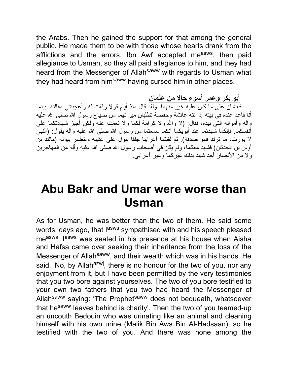the Arabs. Then he gained the support for that among the general public. He made them to be with those whose hearts drank from the afflictions and the errors. Ibn Awf accepted me<sup>asws</sup>, then paid allegiance to Usman, so they all paid allegiance to him, and they had heard from the Messenger of Allah<sup>saww</sup> with regards to Usman what they had heard from him<sup>saww</sup> having cursed him in other places.

**أبو بكر وعمر أسوء حالا من عثمان**

م<del>على حكومة على مسكن حصف العامل.</del><br>فعثمان على ما كان عليه خير منهما<sub>.</sub> ولقد قال منذ أيام قولا رققت له وأعجبتني مقالته<sub>.</sub> بينما أنا قاعد عنده في بیته إذ أتته عائشة وحفصة تطلبان میراثهما من ضیاع رسول االله صلى االله علیه وآله وأمواله التي بیده، فقال: (لا واالله ولا كرامة لكما ولا نعمت عنه ولكن أجیز شهادتكما على أنفسكما. فإنكما شهدتما عند أبویكما أنكما سمعتما من رسول الله صلى الله علیه وآله یقول: (النبي لا یورث، ما ترك فهو صدقة). ثم لقنتما أعرابیا جلفا یبول على عقبیه ویتطهر ببوله (مالك بن أوس بن الحدثان) فشهد معكما، ولم یكن في أصحاب رسول االله صلى االله علیه وآله من المهاجرین ولا من الأنصار أحد شهد بذلك غیركما وغیر أعرابي.

#### **Abu Bakr and Umar were worse than Usman**

As for Usman, he was better than the two of them. He said some words, days ago, that lasws sympathised with and his speech pleased me<sup>asws</sup>. I<sup>asws</sup> was seated in his presence at his house when Aisha and Hafsa came over seeking their inheritance from the loss of the Messenger of Allah<sup>saww</sup>, and their wealth which was in his hands. He said, 'No, by Allah<sup>azwj</sup>, there is no honour for the two of you, nor any enjoyment from it, but I have been permitted by the very testimonies that you two bore against yourselves. The two of you bore testified to your own two fathers that you two had heard the Messenger of Allahsaww saying: 'The Prophetsaww does not bequeath, whatsoever that he<sup>saww</sup> leaves behind is charity'. Then the two of you teamed-up an uncouth Bedouin who was urinating like an animal and cleaning himself with his own urine (Malik Bin Aws Bin Al-Hadsaan), so he testified with the two of you. And there was none among the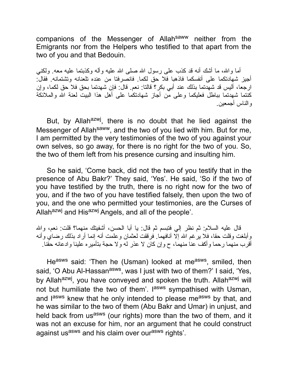companions of the Messenger of Allahsaww neither from the Emigrants nor from the Helpers who testified to that apart from the two of you and that Bedouin.

أما واالله، ما أشك أنه قد كذب على رسول االله صلى االله علیه وآله وكذبتما علیه معه. ولكني أجیز شهادتكما على أنفسكما فاذهبا فلا حق لكما. فانصرفتا من عنده تلعنانه وتشتمانه. فقال: ارجعا، ألیس قد شهدتما بذلك عند أبي بكر؟ قالتا: نعم. قال: فإن شهدتما بحق فلا حق لكما، وإن كنتما شهدتما بباطل فعلیكما وعلى من أجاز شهادتكما على أهل هذا البیت لعنة االله والملائكة والناس أجمعین.

But, by Allah<sup>azwj</sup>, there is no doubt that he lied against the Messenger of Allah<sup>saww</sup>, and the two of you lied with him. But for me, I am permitted by the very testimonies of the two of you against your own selves, so go away, for there is no right for the two of you. So, the two of them left from his presence cursing and insulting him.

So he said, 'Come back, did not the two of you testify that in the presence of Abu Bakr?' They said, 'Yes'. He said, 'So if the two of you have testified by the truth, there is no right now for the two of you, and if the two of you have testified falsely, then upon the two of you, and the one who permitted your testimonies, are the Curses of Allah<sup>azwj</sup> and His<sup>azwj</sup> Angels, and all of the people'.

قال علیه السلام: ثم نظر إلي فتبسم ثم قال: یا أبا الحسن، أشفیتك منهما؟ قلت: نعم، واالله وأبلغت وقلت حقا، فلا یرغم الله إلّا أنافهما. فرققت لعثمان وعلمت أنه إنما أراد بذلك رضاي وأنه أقرب منهما رحما وأكف عنا منهما، ح وإن كان لا عذر له ولا حجة بتأمیره علینا وادعائه حقنا.

He<sup>asws</sup> said: 'Then he (Usman) looked at me<sup>asws</sup>, smiled, then said, 'O Abu Al-Hassan<sup>asws</sup>, was I just with two of them?' I said, 'Yes, by Allah<sup>azwj</sup>, you have conveyed and spoken the truth. Allah<sup>azwj</sup> will not but humiliate the two of them'. I<sup>asws</sup> sympathised with Usman, and l<sup>asws</sup> knew that he only intended to please me<sup>asws</sup> by that, and he was similar to the two of them (Abu Bakr and Umar) in unjust, and held back from usasws (our rights) more than the two of them, and it was not an excuse for him, nor an argument that he could construct against us<sup>asws</sup> and his claim over our<sup>asws</sup> rights'.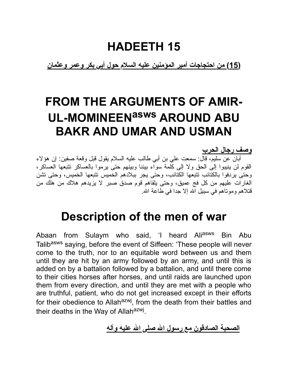## **HADEETH 15**

**(15) من احتجاجات أمیر المؤمنین علیه السلام حول أبي بكر وعمر وعثمان**

# **FROM THE ARGUMENTS OF AMIR-UL-MOMINEENasws AROUND ABU BAKR AND UMAR AND USMAN**

**وصف رجال الحرب**

أبان عن سلیم، قال: سمعت علي بن أبي طالب علیه السلام یقول قبل وقعة صفین: إن هؤلاء القوم لن ینیبوا إلى الحق ولا إلى كلمة سواء بیننا وبینهم حتى یرموا بالعساكر تتبعها العساكر، وحتى یردفوا بالكتائب تتبعها الكتائب، وحتى یجر ببلادهم الخمیس تتبعها الخمیس، وحتى تشن الغارات علیهم من كل فج عمیق، وحتى یلقاهم قوم صدق صبر لا یزیدهم هلاك من هلك من قتلاهم وموتاهم في سبیل االله إلا جدا في طاعة االله.

## **Description of the men of war**

Abaan from Sulaym who said, 'I heard Aliasws Bin Abu Talibasws saying, before the event of Siffeen: 'These people will never come to the truth, nor to an equitable word between us and them until they are hit by an army followed by an army, and until this is added on by a battalion followed by a battalion, and until there come to their cities horses after horses, and until raids are launched upon them from every direction, and until they are met with a people who are truthful, patient, who do not get increased except in their efforts for their obedience to Allah<sup>azwj</sup>, from the death from their battles and their deaths in the Way of Allah<sup>azwj</sup>.

**الصحبة الصادقون مع رسول االله صلى االله علیه وآله**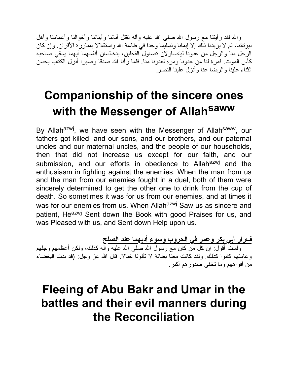واالله لقد رأیتنا مع رسول االله صلى االله علیه وآله نقتل آبائنا وأبنائنا وأخوالنا وأعمامنا وأهل بیوتاتنا، ثم لا یزیدنا ذلك إلا إیمانا وتسلیما وجدا في طاعة االله واستقلالا بمبارزة الأقران. وإن كان الرجل منا والرجل من عدونا لیتصاولان تصاول الفحلین، یتخالسان أنفسهما أیهما یسقي صاحبه كأس الموت. فمرة لنا من عدونا ومره لعدونا منا. فلما رآنا االله صدقا وصبرا أنزل الكتاب بحسن الثناء علینا والرضا عنا وأنزل علینا النصر.

# **Companionship of the sincere ones with the Messenger of Allah saww**

By Allah<sup>azwj</sup>, we have seen with the Messenger of Allah<sup>saww</sup>, our fathers got killed, and our sons, and our brothers, and our paternal uncles and our maternal uncles, and the people of our households, then that did not increase us except for our faith, and our submission, and our efforts in obedience to Allah<sup>azwj</sup> and the enthusiasm in fighting against the enemies. When the man from us and the man from our enemies fought in a duel, both of them were sincerely determined to get the other one to drink from the cup of death. So sometimes it was for us from our enemies, and at times it was for our enemies from us. When Allah<sup>azwj</sup> Saw us as sincere and patient, He<sup>azwj</sup> Sent down the Book with good Praises for us, and was Pleased with us, and Sent down Help upon us.

**فرار أبي بكر وعمر في الحروب وسوء أدبهما عند الصلح** ولست أقول: إن كل من كان مع رسول االله صلى االله علیه وآله كذلك، ولكن أعظمهم وجلهم وعامتهم كانوا كذلك. ولقد كانت معنا بطانة لا تألونا خبالا. قال االله عز وجل: (قد بدت البغضاء من أفواههم وما تخفي صدورهم أكبر.

## **Fleeing of Abu Bakr and Umar in the battles and their evil manners during the Reconciliation**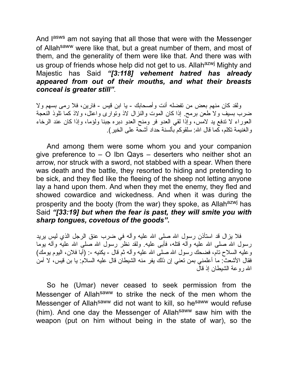And l<sup>asws</sup> am not saying that all those that were with the Messenger of Allah<sup>saww</sup> were like that, but a great number of them, and most of them, and the generality of them were like that. And there was with us group of friends whose help did not get to us. Allah<sup>azwj</sup> Mighty and Majestic has Said *"[3:118] vehement hatred has already appeared from out of their mouths, and what their breasts conceal is greater still"*.

ولقد كان منهم بعض من تفضله أنت وأصحابك - یا ابن قیس - فارین، فلا رمى بسهم ولا ضرب بسیف ولا طعن برمح. إذا كان الموت والنزال لاذ وتوارى واعتل، ولاذ كما تلوذ النعجة العوراء لا تدفع ید لامس، وإذا لقي العدو فر ومنح العدو دبره جبنا ولؤما، وإذا كان عند الرخاء والغنیمة تكلم، كما قال االله: سلقوكم بألسنة حداد أشحة على الخیر).

And among them were some whom you and your companion give preference to – O Ibn Qays – deserters who neither shot an arrow, nor struck with a sword, not stabbed with a spear. When there was death and the battle, they resorted to hiding and pretending to be sick, and they fled like the fleeing of the sheep not letting anyone lay a hand upon them. And when they met the enemy, they fled and showed cowardice and wickedness. And when it was during the prosperity and the booty (from the war) they spoke, as Allah<sup>azwj</sup> has Said *"[33:19] but when the fear is past, they will smite you with sharp tongues, covetous of the goods"***.**

فلا یزال قد استأذن رسول الله صلى الله علیه وآله في ضرب عنق الرجل الذي لیس یرید رسول الله صلى الله علیه وآله قتله، فأبـى علیه. ولقد نظر رسول الله صلـى الله علیه وآله یوما وعلیه السلاح تام، فضحك رسول الله صلَّى الله علیه وأله ثم قال - یكنیه -: (أبا فلان، الیوم یومك) فقال الأشعث: ما أعلمني بمن تعني إن ذلك یفر منه الشیطان قال علیه السلام: یا بن قیس، لا آمن االله روعة الشیطان إذ قال

So he (Umar) never ceased to seek permission from the Messenger of Allah<sup>saww</sup> to strike the neck of the men whom the Messenger of Allah<sup>saww</sup> did not want to kill, so he<sup>saww</sup> would refuse (him). And one day the Messenger of Allah<sup>saww</sup> saw him with the weapon (put on him without being in the state of war), so the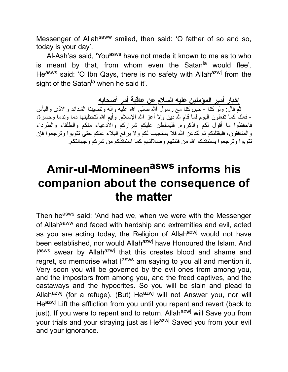Messenger of Allah<sup>saww</sup> smiled, then said: 'O father of so and so, today is your day'.

Al-Ash'as said, 'You<sup>asws</sup> have not made it known to me as to who is meant by that, from whom even the Satan<sup>la</sup> would flee'. Heasws said: 'O Ibn Qays, there is no safety with Allahazwj from the sight of the Satan<sup>la</sup> when he said it'.

**إخبار أمیر المؤمنین علیه السلام عن عاقبة أمر أصحابه**

ثم قال: ولو كنا - حین كنا مع رسول االله صلى االله علیه وآله وتصیبنا الشدائد والأذى والبأس - فعلنا كما تفعلون الیوم لما قام الله دین ولا أعز االله الإسلام. وأیم االله لتحتلبنها دما وندما وحسرة، فاحفظوا ما أقول لكم واذكروه. فلیسلطن علیكم شراركم والأدعیاء منكم والطلقاء والطرداء والمنافقون، فلیقتلنكم ثم لتدعن االله فلا یستجیب لكم ولا یرفع البلاء عنكم حتى تتوبوا وترجعوا فإن تتوبوا وترجعوا یستنقذكم االله من فتنتهم وضلالتهم كما استنقذكم من شركم وجهالتكم.

## **Amir-ul-Momineen asws informs his companion about the consequence of the matter**

Then he<sup>asws</sup> said: 'And had we, when we were with the Messenger of Allah<sup>saww</sup> and faced with hardship and extremities and evil, acted as you are acting today, the Religion of Allahazwj would not have been established, nor would Allahazwj have Honoured the Islam. And lasws swear by Allah<sup>azwj</sup> that this creates blood and shame and regret, so memorise what l<sup>asws</sup> am saying to you all and mention it. Very soon you will be governed by the evil ones from among you, and the impostors from among you, and the freed captives, and the castaways and the hypocrites. So you will be slain and plead to Allah<sup>azwj</sup> (for a refuge). (But) He<sup>azwj</sup> will not Answer you, nor will Heazwj Lift the affliction from you until you repent and revert (back to just). If you were to repent and to return, Allah<sup>azwj</sup> will Save you from your trials and your straying just as He<sup>azwj</sup> Saved you from your evil and your ignorance.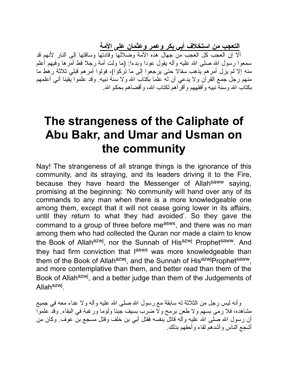**التعجب من استخلاف أبي بكر وعمر وعثمان على الأمة**

ألا إن العجب كل العجب من جهال هذه الأمة وضلالها وقادتها وساقتها إلى النار لأنهم قد سمعوا رسول الله صلى الله علیه وآله یقول عودا وبدءا: (ما ولت أمة رجلا قط أمَّرها وفیهم أعلم منه إلا لم یزل أمرهم یذهب سفالا حتى یرجعوا إلى ما تركوا)، فولوا أمرهم قبلي ثلاثة رهط ما منهم رجل جمع القرآن ولا یدعي أن له علما بكتاب االله ولا سنة نبیه. وقد علموا یقینا أني أعلمهم بكتاب الله وسنة نبیه و أفقههم و أقر أهم لكتاب الله، و أقضـاهم بـحكم الله.

#### **The strangeness of the Caliphate of Abu Bakr, and Umar and Usman on the community**

Nay! The strangeness of all strange things is the ignorance of this community, and its straying, and its leaders driving it to the Fire, because they have heard the Messenger of Allah<sup>saww</sup> saying, promising at the beginning: 'No community will hand over any of its commands to any man when there is a more knowledgeable one among them, except that it will not cease going lower in its affairs, until they return to what they had avoided'. So they gave the command to a group of three before me<sup>asws</sup>, and there was no man among them who had collected the Quran nor made a claim to know the Book of Allah<sup>azwj</sup>, nor the Sunnah of His<sup>azwj</sup> Prophet<sup>saww</sup>. And they had firm conviction that l<sup>asws</sup> was more knowledgeable than them of the Book of Allah<sup>azwj</sup>, and the Sunnah of His<sup>azwj</sup>Prophet<sup>saww</sup>, and more contemplative than them, and better read than them of the Book of Allah<sup>azwj</sup>, and a better judge than them of the Judgements of Allah<sup>azwj</sup>.

وأنه لیس رجل من الثلاثة له سابقة مع رسول االله صلى االله علیه وآله ولا عناء معه في جمیع مشاهده، فلا رمى بسهم ولا طعن برمح ولا ضرب بسیف جبنا ولؤما ورغبة في البقاء. وقد علموا أن رسول الله صلى الله علیه وأله قاتل بنفسه فقتل أبـي بن خلف وقتل مسجع بن عوف. وكان من أشجع الناس وأشدهم لقاء وأحقهم بذلك.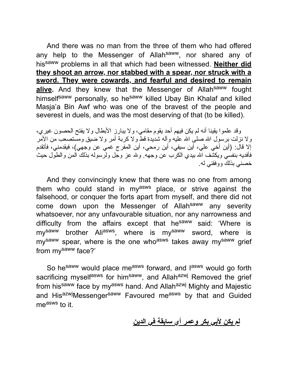And there was no man from the three of them who had offered any help to the Messenger of Allahsaww, nor shared any of hissaww problems in all that which had been witnessed. **Neither did they shoot an arrow, nor stabbed with a spear, nor struck with a sword. They were cowards, and fearful and desired to remain** alive. And they knew that the Messenger of Allah<sup>saww</sup> fought himself<sup>saww</sup> personally, so he<sup>saww</sup> killed Ubay Bin Khalaf and killed Masja'a Bin Awf who was one of the bravest of the people and severest in duels, and was the most deserving of that (to be killed).

وقد علموا یقینا أنه لم یكن فیهم أحد یقوم مقامي، ولا یبارز الأبطال ولا یفتح الحصون غیري، ولا نزلت برسول الله صلى الله علیه وآله شدیدة قط ولا كربة أمر ولا ضبق ومستصعب من الأمر إلا قال: (أین أخي علي، أین سیفي، أین رمحي، أین المفرج غمي عن وجهي)، فیقدمني، فأتقدم فأفدیه بنفسي ویكشف االله بیدي الكرب عن وجهه. والله عز وجل ولرسوله بذلك المن والطول حیث خصني بذلك ووفقني له.

And they convincingly knew that there was no one from among them who could stand in myasws place, or strive against the falsehood, or conquer the forts apart from myself, and there did not come down upon the Messenger of Allahsaww any severity whatsoever, nor any unfavourable situation, nor any narrowness and difficulty from the affairs except that he<sup>saww</sup> said: 'Where is my<sup>saww</sup> brother Ali<sup>asws</sup>, where is my<sup>saww</sup> sword, where is my<sup>saww</sup> spear, where is the one who<sup>asws</sup> takes away my<sup>saww</sup> grief from mysaww face?'

So he<sup>saww</sup> would place me<sup>asws</sup> forward, and l<sup>asws</sup> would go forth sacrificing myselfasws for himsaww, and Allahazwj Removed the grief from his<sup>saww</sup> face by my<sup>asws</sup> hand. And Allah<sup>azwj</sup> Mighty and Majestic and His<sup>azwj</sup>Messenger<sup>saww</sup> Favoured me<sup>asws</sup> by that and Guided measws to it.

**لم یكن لأبي بكر وعمر أي سابقة في الدین**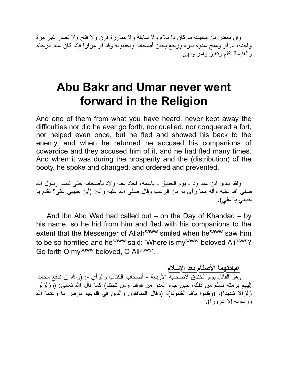وإن بعض من سمیت ما كان ذا بلاء ولا سابقة ولا مبارزة قرن ولا فتح ولا نصر غیر مرة واحدة، ثم فر ومنح عدوه دبره ورجع یجبن أصحابه ویجبنونه وقد فر مرارا فإذا كان عند الرخاء والغنیمة تكلم وتغیر وأمر ونهى.

#### **Abu Bakr and Umar never went forward in the Religion**

And one of them from what you have heard, never kept away the difficulties nor did he ever go forth, nor duelled, nor conquered a fort, nor helped even once, but he fled and showed his back to the enemy, and when he returned he accused his companions of cowardice and they accused him of it, and he had fled many times. And when it was during the prosperity and the (distribution) of the booty, he spoke and changed, and ordered and prevented.

ولقد نادى ابن عبد ود - یوم الخندق - باسمه، فحاد عنه ولاذ بأصحابه حتى تبسم رسول االله صلى االله علیه وآله مما رآى به من الرعب وقال صلى االله علیه وآله: (أین حبیبي علي؟ تقدم یا حبیبي یا علي).

And Ibn Abd Wad had called out – on the Day of Khandaq – by his name, so he hid from him and fled with his companions to the extent that the Messenger of Allah<sup>saww</sup> smiled when he<sup>saww</sup> saw him to be so horrified and he<sup>saww</sup> said: 'Where is my<sup>saww</sup> beloved Ali<sup>asws</sup>? Go forth O mysaww beloved, O Aliasws'.

**عبادتهما الأصنام بعد الإسلام**

وهو القائل يوم الخندق لأصحابه الأربعة - أصحاب الكتاب والرأي -: (والله إن ندفع محمدا إلیهم برمته نسلم من ذلك، حین جاء العدو من فوقنا ومن تحتنا) كما قال االله تعالى: (وزلزلوا زلزالا شدیدا)، (وظنوا بالله الظنونا)، (وقال المنافقون والذین في قلوبهم مرض ما وعدنا الله ورسوله إلا غرورا).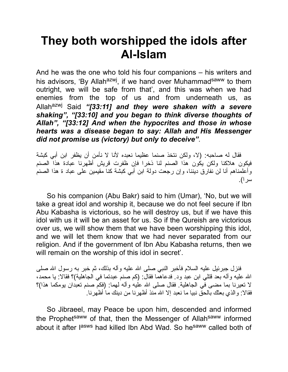## **They both worshipped the idols after Al-Islam**

And he was the one who told his four companions – his writers and his advisors, 'By Allah<sup>azwj</sup>, if we hand over Muhammad<sup>saww</sup> to them outright, we will be safe from that', and this was when we had enemies from the top of us and from underneath us, as Allahazwj Said *"[33:11] and they were shaken with a severe shaking", "[33:10] and you began to think diverse thoughts of Allah", "[33:12] And when the hypocrites and those in whose hearts was a disease began to say: Allah and His Messenger did not promise us (victory) but only to deceive"*.

فقال له صاحبه: (لا، ولكن نتخذ صنما عظیما نعبده لأنا لا نأمن أن یظفر ابن أبي كبشة فیكون هلاكنا ولكن یكون هذا الصنم لنا ذخرا فإن ظفرت قریش أظهرنا عبادة هذا الصنم وأعلمناهم أنا لن نفارق دیننا، وإن رجعت دولة ابن أبي كبشة كنا مقیمین على عباد ة هذا الصنم سرا).

So his companion (Abu Bakr) said to him (Umar), 'No, but we will take a great idol and worship it, because we do not feel secure if Ibn Abu Kabasha is victorious, so he will destroy us, but if we have this idol with us it will be an asset for us. So if the Qureish are victorious over us, we will show them that we have been worshipping this idol, and we will let them know that we had never separated from our religion. And if the government of Ibn Abu Kabasha returns, then we will remain on the worship of this idol in secret'.

فنز ل جبر ئیل علیه السلام فأخبر النبي صلى الله علیه و آله بذلك، ثم خبر به ر سول الله صلى االله علیه وآله بعد قتلي ابن عبد ود. فدعاهما فقال: (كم صنم عبدتما في الجاهلیة)؟ فقالا: یا محمد، لا تعیرنا بما مضى في الجاهلیة. فقال صلى االله علیه وآله لهما: (فكم صنم تعبدان یومكما هذا)؟ فقالا: والذي بعثك بالحق نبیا ما نعبد إلا االله منذ أظهرنا من دینك ما أظهرنا.

So Jibraeel, may Peace be upon him, descended and informed the Prophet<sup>saww</sup> of that, then the Messenger of Allah<sup>saww</sup> informed about it after l<sup>asws</sup> had killed Ibn Abd Wad. So he<sup>saww</sup> called both of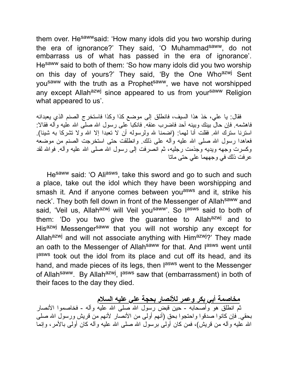them over. He<sup>saww</sup>said: 'How many idols did you two worship during the era of ignorance?' They said, 'O Muhammad<sup>saww</sup>, do not embarrass us of what has passed in the era of ignorance'. Hesaww said to both of them: 'So how many idols did you two worship on this day of yours?' They said, 'By the One Who<sup>azwj</sup> Sent yousaww with the truth as a Prophetsaww, we have not worshipped any except Allah<sup>azwj</sup> since appeared to us from your<sup>saww</sup> Religion what appeared to us'.

فقال: یا علي، خذ هذا السیف، فانطلق إلى موضع كذا وكذا فاستخرج الصنم الذي یعبدانه فاهشمه. فإن حال بینك وبینه أحد فاضرب عنقه. فانكبا على رسول االله صلى االله علیه وآله فقالا: استرنا سترك الله. فقلت أنا لهما: (اضمنا لله ولرسوله أن لا تعبدا إلا الله ولا تشركا به شيئا). فعاهدا رسول الله صلى الله عليه وأله على ذلك. وانطلقت حتى استخرجت الصنم من موضعه وكسرت وجهه ويديه وجذمت رجليه، ثم انصرفت إلى رسول الله صلى الله علیه وأله. فوالله لقد عرفت ذلك في وجههما علي حتى ماتا

He<sup>saww</sup> said: 'O Ali<sup>asws</sup>, take this sword and go to such and such a place, take out the idol which they have been worshipping and smash it. And if anyone comes between you<sup>asws</sup> and it, strike his neck'. They both fell down in front of the Messenger of Allah<sup>saww</sup> and said, 'Veil us, Allah<sup>azwj</sup> will Veil you<sup>saww</sup>'. So l<sup>asws</sup> said to both of them: 'Do you two give the guarantee to Allahazwj and to His<sup>azwj</sup> Messenger<sup>saww</sup> that you will not worship any except for Allah<sup>azwj</sup> and will not associate anything with Him<sup>azwj</sup>?' They made an oath to the Messenger of Allah<sup>saww</sup> for that. And l<sup>asws</sup> went until lasws took out the idol from its place and cut off its head, and its hand, and made pieces of its legs, then l<sup>asws</sup> went to the Messenger of Allah<sup>saww</sup>. By Allah<sup>azwj</sup>, l<sup>asws</sup> saw that (embarrassment) in both of their faces to the day they died.

**مخاصمة أبي بكر وعمر للأنصار بحجة علي علیه السلام** ثم انطلق هو وأصحابه - حین قبض رسول االله صلى االله علیه وآله - فخاصموا الأنصار بحقي. فإن كانوا صدقوا واحتجوا بحق (أنهم أولى من الأنصار لأنهم من قریش ورسول االله صلى االله علیه وآله من قریش)، فمن كان أولى برسول االله صلى االله علیه وآله كان أولى بالأمر، وإنما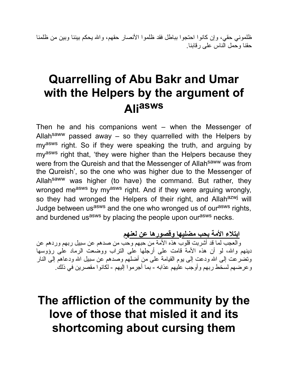ظلموني حقي، وإن كانوا احتجوا بباطل فقد ظلموا الأنصار حقهم، واالله یحكم بیننا وبین من ظلمنا حقنا وحمل الناس على رقابنا.

## **Quarrelling of Abu Bakr and Umar with the Helpers by the argument of Ali asws**

Then he and his companions went – when the Messenger of Allahsaww passed away – so they quarrelled with the Helpers by my<sup>asws</sup> right. So if they were speaking the truth, and arguing by my<sup>asws</sup> right that, 'they were higher than the Helpers because they were from the Qureish and that the Messenger of Allah<sup>saww</sup> was from the Qureish', so the one who was higher due to the Messenger of Allah<sup>saww</sup> was higher (to have) the command. But rather, they wronged measws by myasws right. And if they were arguing wrongly, so they had wronged the Helpers of their right, and Allah<sup>azwj</sup> will Judge between us<sup>asws</sup> and the one who wronged us of our<sup>asws</sup> rights, and burdened us<sup>asws</sup> by placing the people upon our<sup>asws</sup> necks.

**ابتلاء الأمة بحب مضلیها وقصورها عن لعنهم**

والعجب لما قد أشربت قلوب هذه الأمة من حبهم وحب من صدهم عن سبیل ربهم وردهم عن دینهم واالله، لو أن هذه الأمة قامت على أرجلها على التراب ووضعت الرماد على رؤوسها وتضرعت إلى الله ودعت إلى يوم القيامة على من أضلهم وصدهم عن سبيل الله ودعاهم إلى النار وعرضهم لسخط ربهم وأوجب علیهم عذابه - بما أجرموا إلیهم - لكانوا مقصرین في ذلك.

## **The affliction of the community by the love of those that misled it and its shortcoming about cursing them**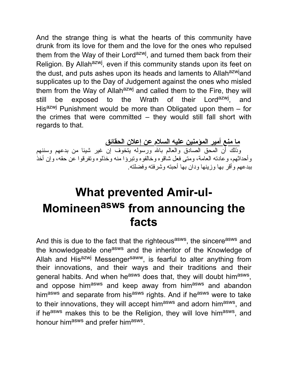And the strange thing is what the hearts of this community have drunk from its love for them and the love for the ones who repulsed them from the Way of their Lord<sup>azwj</sup>, and turned them back from their Religion. By Allah<sup>azwj</sup>, even if this community stands upon its feet on the dust, and puts ashes upon its heads and laments to Allah<sup>azwj</sup>and supplicates up to the Day of Judgement against the ones who misled them from the Way of Allah<sup>azwj</sup> and called them to the Fire, they will still be exposed to the Wrath of their Lord<sup>azwj</sup>. , and His<sup>azwj</sup> Punishment would be more than Obligated upon them  $-$  for the crimes that were committed – they would still fall short with regards to that.

**ما منع أمیر المؤمنین علیه السلام عن إعلان الحقائق**

وذلك أن المحق الصادق والعالم باالله ورسوله یتخوف إن غیر شیئا من بدعهم وسننهم وأحداثهم، وعادته العامة، ومتى فعل شاقوه وخالفوه وتبرؤا منه وخذلوه وتفرقوا عن حقه، وإن أخذ ببدعهم وأقر بها وزینها ودان بها أحبته وشرفته وفضلته.

## **What prevented Amir-ul-Momineen asws from announcing the facts**

And this is due to the fact that the righteous<sup>asws</sup>, the sincere<sup>asws</sup> and the knowledgeable one<sup>asws</sup> and the inheritor of the Knowledge of Allah and His<sup>azwj</sup> Messenger<sup>saww</sup>, is fearful to alter anything from their innovations, and their ways and their traditions and their general habits. And when he<sup>asws</sup> does that, they will doubt him<sup>asws</sup>, and oppose him<sup>asws</sup> and keep away from him<sup>asws</sup> and abandon himasws and separate from hisasws rights. And if heasws were to take to their innovations, they will accept him<sup>asws</sup> and adorn him<sup>asws</sup>, and if he<sup>asws</sup> makes this to be the Religion, they will love him<sup>asws</sup>, and honour him<sup>asws</sup> and prefer him<sup>asws</sup>.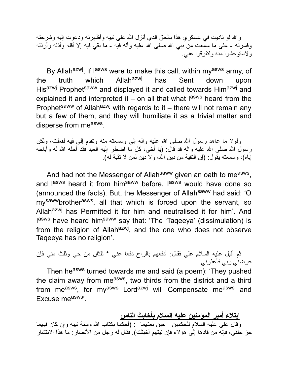واالله لو نادیت في عسكري هذا بالحق الذي أنزل االله على نبیه وأظهرته ودعوت إلیه وشرحته وفسرته - على ما سمّعت من نبـي الله صلـي الله علیه وألـه فیه - ما بقي فیه إلا أقلـه وأذلـه وأرذلـه ولاستوحشوا منه ولتفرقوا عني.

By Allah<sup>azwj</sup>, if l<sup>asws</sup> were to make this call, within my<sup>asws</sup> army, of the truth which Allah<sup>azwj</sup> has Sent down upon Hisazwj Prophetsaww and displayed it and called towards Himazwj and explained it and interpreted it  $-$  on all that what l<sup>asws</sup> heard from the Prophet<sup>saww</sup> of Allah<sup>azwj</sup> with regards to it – there will not remain any but a few of them, and they will humiliate it as a trivial matter and disperse from me<sup>asws</sup>.

ولولا ما عاهد رسول الله صلى الله علیه وأله إلی وسمعته منه وتقدم إلی فیه لفعلت، ولكن رسول الله صلى الله علیه وآله قد قال: (یا أخي، كل مّا اضطر إلیه العبد فقد أحله الله له وأباحه إیاه)، وسمعته یقول: (إن التقیة من دین االله، ولا دین لمن لا تقیة له).

And had not the Messenger of Allah<sup>saww</sup> given an oath to me<sup>asws</sup>, and l<sup>asws</sup> heard it from him<sup>saww</sup> before, l<sup>asws</sup> would have done so (announced the facts). But, the Messenger of Allah<sup>saww</sup> had said: 'O my<sup>saww</sup>brother<sup>asws</sup>, all that which is forced upon the servant, so Allah<sup>azwj</sup> has Permitted it for him and neutralised it for him'. And lasws have heard him<sup>saww</sup> say that: 'The 'Taqeeya' (dissimulation) is from the religion of Allah<sup>azwj</sup>, and the one who does not observe Taqeeya has no religion'.

ثم أقبل علیه السلام علي فقال: أدفعهم بالراح دفعا عني \* ثلثان من حي وثلث مني فإن عوضني ربي فأعذرني Then he<sup>asws</sup> turned towards me and said (a poem): 'They pushed

the claim away from me<sup>asws</sup>, two thirds from the district and a third from me<sup>asws</sup>, for my<sup>asws</sup> Lord<sup>azwj</sup> will Compensate me<sup>asws</sup> and Excuse measws'.

**ابتلاء أمیر المؤمنین علیه السلام بأخابث الناس** وقال علي علیه السلام للحكمین - حین بعثهما :- (أحكما بكتاب االله وسنة نبیه وإن كان فیهما حز حلقي، فإنه من قادها إلى هؤلاء فإن نیتهم أخبثت). فقال له رجل من الأنصار: ما هذا الانتشار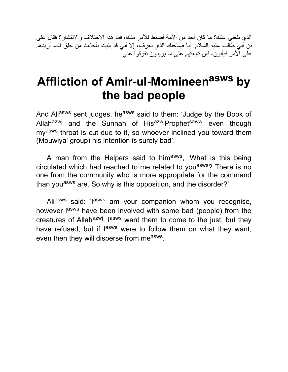الذي بلغني عنك؟ ما كان أحد من الأمة أضبط للأمر منك، فما هذا الاختلاف والانتشار؟ فقال علي بن أبي طالب علیه السلام: أنا صاحبك الذي تعرف، إلا أني قد بلیت بأخابث من خلق االله، أریدهم على الأمر فیأبون، فإن تابعتهم على ما یریدون تفرقوا عني

## **Affliction of Amir-ul-Momineen asws by the bad people**

And Ali<sup>asws</sup> sent judges, he<sup>asws</sup> said to them: 'Judge by the Book of Allah<sup>azwj</sup> and the Sunnah of His<sup>azwj</sup>Prophetsaww even though my<sup>asws</sup> throat is cut due to it, so whoever inclined you toward them (Mouwiya' group) his intention is surely bad'.

A man from the Helpers said to him<sup>asws</sup>, 'What is this being circulated which had reached to me related to you<sup>asws</sup>? There is no one from the community who is more appropriate for the command than you<sup>asws</sup> are. So why is this opposition, and the disorder?'

Aliasws said: 'lasws am your companion whom you recognise, however l<sup>asws</sup> have been involved with some bad (people) from the creatures of Allah<sup>azwj</sup>. I<sup>asws</sup> want them to come to the just, but they have refused, but if l<sup>asws</sup> were to follow them on what they want, even then they will disperse from me<sup>asws</sup>.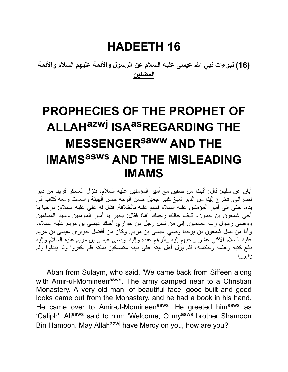#### **HADEETH 16**

**(16) نبوءات نبي االله عیسى علیه السلام عن الرسول والأئمة علیهم السلام والأئمة المضلین**

# **PROPHECIES OF THE PROPHET OF ALLAHazwj ISAasREGARDING THE MESSENGERsaww AND THE IMAMS asws AND THE MISLEADING IMAMS**

أبان عن سلیم: قال: أقبلنا من صفین مع أمیر المؤمنین علیه السلام، فنزل العسكر قریبا من دیر نصراني. فخرج إلینا من الدیر شیخ كبیر جمیل حسن الوجه حسن الهیئة والسمت ومعه كتاب في یده، حتى أتى أمیر المؤمنین علیه السلام فسلم علیه بالخلافة. فقال له علي علیه السلام: مرحبا یا أخي شمعون بن حمون، كیف حالك رحمك االله؟ فقال: بخیر یا أمیر المؤمنین وسید المسلمین ووصي رسول رب العالمین. إني من نسل رجل من حواري أخیك عیسى بن مریم علیه السلام، وأنا من نسل شمعون بن یوحنا وصي عیسى بن مریم. وكان من أفضل حواري عیسى بن مریم علیه السلام الاثني عشر وأحبهم إلیه وآثرهم عنده وإلیه أوصى عیسى بن مریم علیه السلام وإلیه دفع كتبه وعلمه وحكمته، فلم یزل أهل بیته على دینه متمسكین بملته فلم یكفروا ولم یبدلوا ولم یغیروا.

Aban from Sulaym, who said, 'We came back from Siffeen along with Amir-ul-Momineen<sup>asws</sup>. The army camped near to a Christian Monastery. A very old man, of beautiful face, good built and good looks came out from the Monastery, and he had a book in his hand. He came over to Amir-ul-Momineen<sup>asws</sup>. He greeted him<sup>asws</sup> as 'Caliph'. Ali<sup>asws</sup> said to him: 'Welcome, O my<sup>asws</sup> brother Shamoon Bin Hamoon. May Allah<sup>azwj</sup> have Mercy on you, how are you?'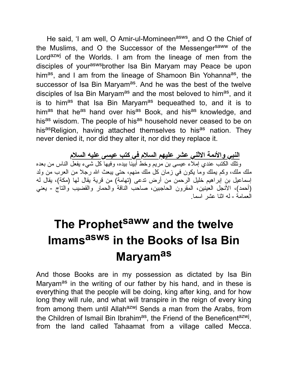He said, 'I am well, O Amir-ul-Momineen<sup>asws</sup>, and O the Chief of the Muslims, and O the Successor of the Messenger<sup>saww</sup> of the Lord<sup>azwj</sup> of the Worlds. I am from the lineage of men from the disciples of youraswsbrother Isa Bin Maryam may Peace be upon him<sup>as</sup>, and I am from the lineage of Shamoon Bin Yohanna<sup>as</sup>, the successor of Isa Bin Maryam<sup>as</sup>. And he was the best of the twelve disciples of Isa Bin Maryam<sup>as</sup> and the most beloved to him<sup>as</sup>, and it is to him<sup>as</sup> that Isa Bin Maryam<sup>as</sup> bequeathed to, and it is to himas that heas hand over hisas Book, and hisas knowledge, and hisas wisdom. The people of hisas household never ceased to be on hisasReligion, having attached themselves to hisas nation. They never denied it, nor did they alter it, nor did they replace it.

**النبي والأئمة الاثني عشر علیهم السلام في كتب عیسى علیه السلام** وتلك الكتب عندي إملاء عیسى بن مریم وخط أبینا بیده، وفیها كل شيء یفعل الناس من بعده ملك ملك، وكم یملك وما یكون في زمان كل ملك منهم، حتى یبعث االله رجلا من العرب من ولد إسماعیل بن إبراهیم خلیل الرحمن من أرض تدعى (تهامة) من قریة یقال لها (مكة)، یقال له (أحمد)، الأنجل العینین، المقرون الحاجبین، صاحب الناقة والحمار والقضیب والتاج - یعني العمامة - له اثنا عشر اسما.

# **The Prophet saww and the twelve Imams asws in the Books of Isa Bin Maryamas**

And those Books are in my possession as dictated by Isa Bin Maryam<sup>as</sup> in the writing of our father by his hand, and in these is everything that the people will be doing, king after king, and for how long they will rule, and what will transpire in the reign of every king from among them until Allah<sup>azwj</sup> Sends a man from the Arabs, from the Children of Ismail Bin Ibrahim<sup>as</sup>, the Friend of the Beneficent<sup>azwj</sup>, from the land called Tahaamat from a village called Mecca.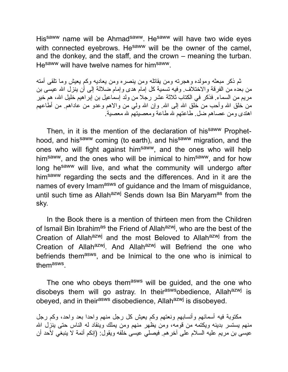Hissaww name will be Ahmadsaww. Hesaww will have two wide eyes with connected eyebrows. He<sup>saww</sup> will be the owner of the camel, and the donkey, and the staff, and the crown – meaning the turban. He<sup>saww</sup> will have twelve names for him<sup>saww</sup>.

ثم ذكر مبعثه ومولده وهجرته ومن یقاتله ومن ینصره ومن یعادیه وكم یعیش وما تلقى أمته من بعده من الفرقة والاختلاف. وفیه تسمیة كل إمام هدى وإمام ضلالة إلى أن ینزل االله عیسى بن مریم من السماء. فذكر في الكتاب ثلاثة عشر رجلا من ولد إسماعیل بن إبراهیم خلیل االله، هم خیر من خلق الله وأحب من خلق الله إلى الله. وإن الله ولي من والاهم وعدو من عاداهم. من أطاعهم اهتدى ومن عصاهم ضل. طاعتهم الله طاعة ومعصیتهم الله معصیة.

Then, in it is the mention of the declaration of his<sup>saww</sup> Prophethood, and his<sup>saww</sup> coming (to earth), and his<sup>saww</sup> migration, and the ones who will fight against him<sup>saww</sup>, and the ones who will help him<sup>saww</sup>, and the ones who will be inimical to him<sup>saww</sup>, and for how long he<sup>saww</sup> will live, and what the community will undergo after him<sup>saww</sup> regarding the sects and the differences. And in it are the names of every Imam<sup>asws</sup> of guidance and the Imam of misguidance, until such time as Allah<sup>azwj</sup> Sends down Isa Bin Maryam<sup>as</sup> from the sky.

In the Book there is a mention of thirteen men from the Children of Ismail Bin Ibrahim<sup>as</sup> the Friend of Allah<sup>azwj</sup>, who are the best of the Creation of Allah<sup>azwj</sup> and the most Beloved to Allah<sup>azwj</sup> from the Creation of Allah<sup>azwj</sup>. And Allah<sup>azwj</sup> will Befriend the one who befriends them<sup>asws</sup>, and be Inimical to the one who is inimical to them<sup>asws</sup>.

The one who obeys themasws will be guided, and the one who disobeys them will go astray. In their<sup>asws</sup>obedience, Allah<sup>azwj</sup> is obeyed, and in their<sup>asws</sup> disobedience, Allah<sup>azwj</sup> is disobeyed.

مكتوبة فیه أسمائهم وأنسابهم ونعتهم وكم یعیش كل رجل منهم واحدا بعد واحد، وكم رجل منهم یستسر بدینه ویكتمه من قومه، ومن یظهر منهم ومن یملك وینقاد له الناس حتى ینزل االله عیسى بن مریم علیه السلام على آخرهم. فیصلي عیسى خلفه ویقول: (إنكم أئمة لا ینبغي لأحد أن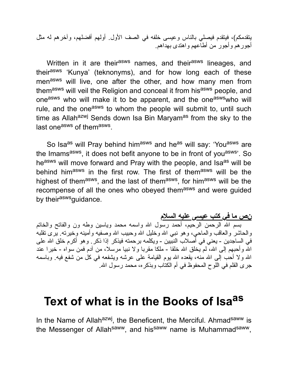یتقدمكم)، فیتقدم فیصلي بالناس وعیسى خلفه في الصف الأول. أولهم أفضلهم، وآخرهم له مثل أجورهم وأجور من أطاعهم واهتدى بهداهم.

Written in it are their<sup>asws</sup> names, and their<sup>asws</sup> lineages, and theirasws 'Kunya' (teknonyms), and for how long each of these menasws will live, one after the other, and how many men from themasws will veil the Religion and conceal it from hisasws people, and oneasws who will make it to be apparent, and the oneasws who will rule, and the one<sup>asws</sup> to whom the people will submit to, until such time as Allah<sup>azwj</sup> Sends down Isa Bin Maryam<sup>as</sup> from the sky to the last one<sup>asws</sup> of them<sup>asws</sup>.

So Isa<sup>as</sup> will Pray behind him<sup>asws</sup> and he<sup>as</sup> will say: 'You<sup>asws</sup> are the Imams<sup>asws</sup>, it does not befit anyone to be in front of you<sup>asws</sup>'. So he<sup>asws</sup> will move forward and Pray with the people, and Isa<sup>as</sup> will be behind himasws in the first row. The first of themasws will be the highest of them<sup>asws</sup>, and the last of them<sup>asws</sup>, for him<sup>asws</sup> will be the recompense of all the ones who obeyed themasws and were guided by their<sup>asws</sup>guidance.

**نص ما في كتب عیسى علیه السلام**

بسم االله الرحمن الرحیم، أحمد رسول االله واسمه محمد ویاسین وطه ون والفاتح والخاتم والحاشر والعاقب والماحی، وهو نبی الله وخلیل الله وحبیب الله وصفیه وأمینه وخیرته. یرى تقلبه في الساجدین - یعني في أصلاب النبیین - ویكلمه برحمته فیذكر إذا ذكر. وهو أكرم خلق االله على الله وأحبهم إلى الله، لم يخلق الله خلقا - ملكا مقربا ولا نبيا مرسلا، من آدم فمن سواه - خيرا عند الله ولا أحب إلى الله منه، یقعده الله یوم القیامة على عرشه ویشفعه في كل من شفع فیه. وباسمه جرى القلم في اللوح المحفوظ في أم الكتاب وبذكره، محمد رسول االله.

## **Text of what is in the Books of Isa as**

In the Name of Allah<sup>azwj</sup>, the Beneficent, the Merciful. Ahmad<sup>saww</sup> is the Messenger of Allah<sup>saww</sup>, and his<sup>saww</sup> name is Muhammad<sup>saww</sup>,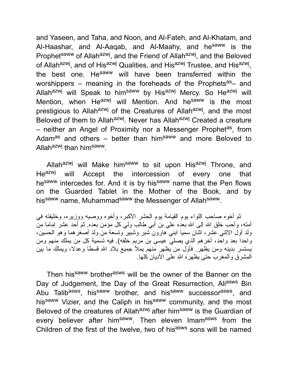and Yaseen, and Taha, and Noon, and Al-Fateh, and Al-Khatam, and Al-Haashar, and Al-Aagab, and Al-Maahy, and he<sup>saww</sup> is the Prophet<sup>saww</sup> of Allah<sup>azwj</sup>, and the Friend of Allah<sup>azwj</sup>, and the Beloved of Allah<sup>azwj</sup>, and of His<sup>azwj</sup> Qualities, and His<sup>azwj</sup> Trustee, and His<sup>azwj</sup>, the best one. He<sup>saww</sup> will have been transferred within the worshippers – meaning in the foreheads of the Prophets<sup>as</sup> – and Allahazwj will Speak to himsaww by Hisazwj Mercy. So Heazwj will Mention, when He<sup>azwj</sup> will Mention. And he<sup>saww</sup> is the most prestigious to Allah<sup>azwj</sup> of the Creatures of Allah<sup>azwj</sup>, and the most Beloved of them to Allah<sup>azwj</sup>. Never has Allah<sup>azwj</sup> Created a creature – neither an Angel of Proximity nor a Messenger Prophet<sup>as</sup>, from Adam<sup>as</sup> and others – better than him<sup>saww</sup> and more Beloved to Allah<sup>azwj</sup> than him<sup>saww</sup>.

Allah<sup>azwj</sup> will Make him<sup>saww</sup> to sit upon His<sup>azwj</sup> Throne, and He<sup>azwj</sup> will Accept the intercession of every one that hesaww intercedes for. And it is by hissaww name that the Pen flows on the Guarded Tablet in the Mother of the Book, and by his<sup>saww</sup> name, Muhammad<sup>saww</sup> the Messenger of Allah<sup>saww</sup>.

ثم أخوه صاحب اللواء یوم القیامة یوم الحشر الأكبر، وأخوه ووصیه ووزیره، وخلیفته في أمته، وأحب خلق الله إلى الله بعده على بن أبي طالب ولي كل مؤمن بعده. ثم أحد عشر إماما من ولد أول الاثني عشر، اثنان سمیا ابني هارون شبر وشبیر وتسعة من ولد أصغرهما وهو الحسین، واحدا بعد واحد، آخرهم الذي یصلي عیسى بن مریم خلفه). فیه تسمیة كل من یملك منهم ومن یستسر بدینه ومن یظهر. فأول من یظهر منهم یملأ جمیع بلاد االله قسطا وعدلا، ویملك ما بین المشرق والمغرب حتى یظهره االله على الأدیان كلها.

Then his<sup>saww</sup> brother<sup>asws</sup> will be the owner of the Banner on the Day of Judgement, the Day of the Great Resurrection, Aliasws Bin Abu Talib<sup>asws</sup>, his<sup>saww</sup> brother, and his<sup>saww</sup> successor<sup>asws</sup>, and his<sup>saww</sup> Vizier, and the Caliph in his<sup>saww</sup> community, and the most Beloved of the creatures of Allah<sup>azwj</sup> after him<sup>saww</sup> is the Guardian of every believer after him<sup>saww</sup>. Then eleven Imam<sup>asws</sup> from the Children of the first of the twelve, two of hisasws sons will be named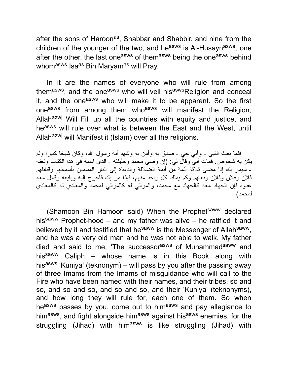after the sons of Haroon<sup>as</sup>, Shabbar and Shabbir, and nine from the children of the younger of the two, and he<sup>asws</sup> is Al-Husayn<sup>asws</sup>, one after the other, the last one<sup>asws</sup> of them<sup>asws</sup> being the one<sup>asws</sup> behind whom<sup>asws</sup> Isa<sup>as</sup> Bin Maryam<sup>as</sup> will Pray.

In it are the names of everyone who will rule from among them<sup>asws</sup>, and the one<sup>asws</sup> who will veil his<sup>asws</sup>Religion and conceal it, and the one<sup>asws</sup> who will make it to be apparent. So the first oneasws from among them who<sup>asws</sup> will manifest the Religion, Allahazwj Will Fill up all the countries with equity and justice, and heasws will rule over what is between the East and the West, until Allah<sup>azwj</sup> will Manifest it (Islam) over all the religions.

فلما بعث النبي - وأبي حي - صدق به وآمن به وشهد أنه رسول االله، وكان شیخا كبیرا ولم یكن به شخوص. فمات أبي وقال لي: (إن وصي محمد وخلیفته - الذي اسمه في هذا الكتاب ونعته - سیمر بك إذا مضى ثلاثة أئمة من أئمة الضلالة والدعاة إلى النار المسمین بأسمائهم وقبائلهم فلان وفلان وفلان ونعتهم وكم یملك كل واحد منهم، فإذا مر بك فاخرج إلیه وبایعه وقاتل معه عدوه فإن الجهاد معه كالجهاد مع محمد، والموالي له كالموالي لمحمد والمعادي له كالمعادي لمحمد).

(Shamoon Bin Hamoon said) When the Prophet<sup>saww</sup> declared his<sup>saww</sup> Prophet-hood – and my father was alive – he ratified it and believed by it and testified that he<sup>saww</sup> is the Messenger of Allah<sup>saww</sup>, and he was a very old man and he was not able to walk. My father died and said to me, 'The successor<sup>asws</sup> of Muhammad<sup>saww</sup> and his<sup>saww</sup> Caliph – whose name is in this Book along with his<sup>asws</sup> 'Kuniya' (teknonym) – will pass by you after the passing away of three Imams from the Imams of misguidance who will call to the Fire who have been named with their names, and their tribes, so and so, and so and so, and so and so, and their 'Kuniya' (teknonyms), and how long they will rule for, each one of them. So when heasws passes by you, come out to himasws and pay allegiance to him<sup>asws</sup>, and fight alongside him<sup>asws</sup> against his<sup>asws</sup> enemies, for the struggling (Jihad) with him<sup>asws</sup> is like struggling (Jihad) with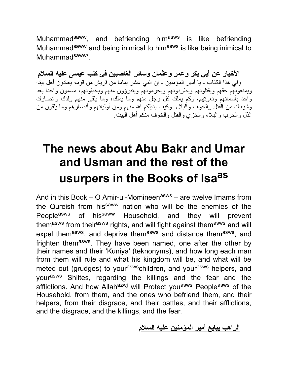Muhammad<sup>saww</sup>, and befriending him<sup>asws</sup> is like befriending Muhammad<sup>saww</sup> and being inimical to him<sup>asws</sup> is like being inimical to Muhammad<sup>saww</sup>'.

**الأخبار عن أبي بكر وعمر وعثمان وسائر الغاصبین في كتب عیسى علیه السلام** وفي هذا الكتاب - یا أمیر المؤمنین - إن اثني عشر إماما من قریش من قومه یعادون أهل بیته ویمنعونهم حقهم ویقتلونهم ویطردونهم ویحرمونهم ویتبرؤون منهم ویخیفونهم، مسمون واحدا بعد واحد بأسمائهم ونعوتهم، وكم یملك كل رجل منهم وما یملك، وما یلقى منهم ولدك وأنصارك وشیعتك من القتل والخوف والبلاء. وكیف یدیلكم االله منهم ومن أولیائهم وأنصارهم وما یلقون من الذل والحرب والبلاء والخزي والقتل والخوف منكم أهل البیت.

## **The news about Abu Bakr and Umar and Usman and the rest of the usurpers in the Books of Isa as**

And in this Book – O Amir-ul-Momineen<sup>asws</sup> – are twelve Imams from the Qureish from hissaww nation who will be the enemies of the People<sup>asws</sup> of his<sup>saww</sup> Household, and they will prevent themasws from theirasws rights, and will fight against themasws and will expel them<sup>asws</sup>, and deprive them<sup>asws</sup> and distance them<sup>asws</sup>, and frighten them<sup>asws</sup>. They have been named, one after the other by their names and their 'Kuniya' (teknonyms), and how long each man from them will rule and what his kingdom will be, and what will be meted out (grudges) to your<sup>asws</sup>children, and your<sup>asws</sup> helpers, and yourasws Shiites, regarding the killings and the fear and the afflictions. And how Allah<sup>azwj</sup> will Protect you<sup>asws</sup> People<sup>asws</sup> of the Household, from them, and the ones who befriend them, and their helpers, from their disgrace, and their battles, and their afflictions, and the disgrace, and the killings, and the fear.

**الراهب یبایع أمیر المؤمنین علیه السلام**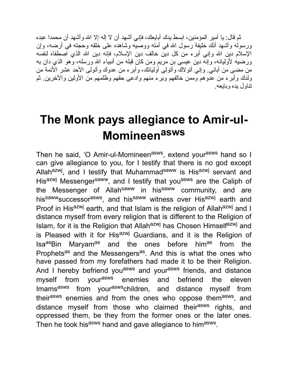ثم قال: یا أمیر المؤمنین، ابسط یدك أبایعك، فإني أشهد أن لا إله إلا االله وأشهد أن محمدا عبده ورسوله وأشهد أنك خلیفة رسول االله في أمته ووصیه وشاهده على خلقه وحجته في أرضه، وإن الإسلام دین الله وإنی أبر ء من كل دین خالف دین الإسلام، فإنه دین الله الذي اصطفاه لنفسه ورضیه لأولیائه، وإنه دین عیسى بن مریم ومن كان قبله من أنبیاء االله ورسله، وهو الذي دان به من مضى من آبائي. وإني أتولاك وأتولى أولیائك، وأبرء من عدوك وأتولى الأحد عشر الأئمة من ولدك وأبرء من عدوهم وممن خالفهم وبرء منهم وادعى حقهم وظلمهم من الأولین والآخرین. ثم تناول یده وبایعه.

## **The Monk pays allegiance to Amir-ul-Momineen asws**

Then he said, 'O Amir-ul-Momineen<sup>asws</sup>, extend your<sup>asws</sup> hand so I can give allegiance to you, for I testify that there is no god except Allah<sup>azwj</sup>, and I testify that Muhammad<sup>saww</sup> is His<sup>azwj</sup> servant and His<sup>azwj</sup> Messenger<sup>saww</sup>, and I testify that you<sup>asws</sup> are the Caliph of the Messenger of Allah<sup>saww</sup> in his<sup>saww</sup> community, and are his<sup>saww</sup>successor<sup>asws</sup>, and his<sup>saww</sup> witness over His<sup>azwj</sup> earth and Proof in His<sup>azwj</sup> earth, and that Islam is the religion of Allah<sup>azwj</sup> and I distance myself from every religion that is different to the Religion of Islam, for it is the Religion that Allah<sup>azwj</sup> has Chosen Himself<sup>azwj</sup> and is Pleased with it for His<sup>azwj</sup> Guardians, and it is the Religion of Isa<sup>as</sup>Bin Maryam<sup>as</sup> and the ones before him<sup>as</sup> from the Prophets<sup>as</sup> and the Messengers<sup>as</sup>. And this is what the ones who have passed from my forefathers had made it to be their Religion. And I hereby befriend you<sup>asws</sup> and your<sup>asws</sup> friends, and distance myself from your<sup>asws</sup> enemies and befriend the eleven Imams<sup>asws</sup> from your<sup>asws</sup>children, and distance myself from their<sup>asws</sup> enemies and from the ones who oppose them<sup>asws</sup>, and distance myself from those who claimed their<sup>asws</sup> rights, and oppressed them, be they from the former ones or the later ones. Then he took his<sup>asws</sup> hand and gave allegiance to him<sup>asws</sup>.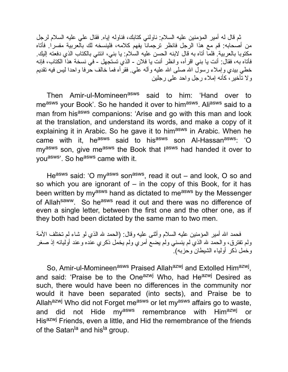ثم قال له أمیر المؤمنین علیه السلام: ناولني كتابك، فناوله إیاه. فقال علي علیه السلام لرجل من أصحابه: قم مع هذا الرجل فانظر ترجمانا یفهم كلامه، فلینسخه لك بالعربیة مفسرا. فأتاه مكتوبا بالعربیة. فلما أتاه به قال لابنه الحسن علیه السلام: یا بني، ائتني بالكتاب الذي دفعته إلیك. فأتاه به، فقال: أنت یا بني اقرأه، وانظر أنت یا فلان - الذي تستجهل - في نسخة هذا الكتاب، فإنه خطي بیدي وإملاء رسول الله صلـي الله علیه وألـه علـي. فقرأه فمـا خالف حرفا واحدا لیس فیـه تقدیم ولا تأخیر، كأنه إملاء رجل واحد على رجلین

Then Amir-ul-Momineen<sup>asws</sup> said to him: 'Hand over to measws your Book'. So he handed it over to himasws. Aliasws said to a man from his<sup>asws</sup> companions: 'Arise and go with this man and look at the translation, and understand its words, and make a copy of it explaining it in Arabic. So he gave it to himasws in Arabic. When he came with it, he<sup>asws</sup> said to his<sup>asws</sup> son Al-Hassan<sup>asws</sup>: 'O my<sup>asws</sup> son, give me<sup>asws</sup> the Book that l<sup>asws</sup> had handed it over to you<sup>asws</sup>'. So he<sup>asws</sup> came with it.

He<sup>asws</sup> said: 'O my<sup>asws</sup> son<sup>asws</sup>, read it out – and look, O so and so which you are ignorant of  $-$  in the copy of this Book, for it has been written by my<sup>asws</sup> hand as dictated to me<sup>asws</sup> by the Messenger of Allahsaww. So heasws read it out and there was no difference of even a single letter, between the first one and the other one, as if they both had been dictated by the same man to two men.

فحمد الله أمیر المؤمنین علیه السلام وأثنـى علیه وقال: (الحمد لله الذي لو شاء لم تختلف الأمة ولم تفترق، والحمد لله الذي لم ينسني ولم يضع أمري ولم يخمل ذكري عنده وعند أوليائه إذ صغر وخمل ذكر أولیاء الشیطان وحزبه).

So, Amir-ul-Momineen<sup>asws</sup> Praised Allah<sup>azwj</sup> and Extolled Him<sup>azwj</sup>, and said: 'Praise be to the One<sup>azwj</sup> Who, had He<sup>azwj</sup> Desired as such, there would have been no differences in the community nor would it have been separated (into sects), and Praise be to Allah<sup>azwj</sup> Who did not Forget me<sup>asws</sup> or let my<sup>asws</sup> affairs go to waste, and did not Hide my<sup>asws</sup> remembrance with Him<sup>azwj</sup> or Hisazw<sup>j</sup> Friends, even a little, and Hid the remembrance of the friends of the Satan<sup>la</sup> and hisla group.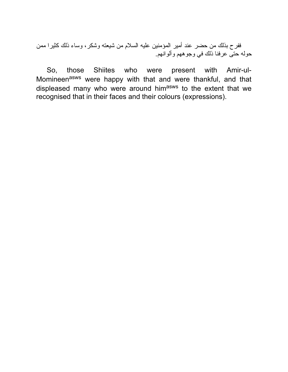ففرح بذلك من حضر عند أمیر المؤمنین علیه السلام من شیعته وشكر، وساء ذلك كثیرا ممن حوله حتى عرفنا ذلك في وجوههم وألوانهم.

So, those Shiites who were present with Amir-ul-Momineen<sup>asws</sup> were happy with that and were thankful, and that displeased many who were around him<sup>asws</sup> to the extent that we recognised that in their faces and their colours (expressions).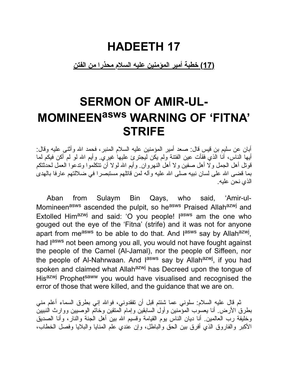#### **HADEETH 17**

#### **(17) خطبة أمیر المؤمنین علیه السلام محذرا من الفتن**

## **SERMON OF AMIR-UL-MOMINEENasws WARNING OF 'FITNA' STRIFE**

أبان عن سلیم بن قیس قال: صعد أمیر المؤمنین علیه السلام المنبر، فحمد االله وأثنى علیه وقال: أیها الناس، أنا الذي فقأت عین الفتنة ولم یكن لیجترئ علیها غیري. وأیم االله لو لم أكن فیكم لما قوتل أهل الجمل ولا أهل صفین ولا أهل النهروان. وأیم االله لولا أن تتكلموا وتدعوا العمل لحدثتكم بما قضى الله على لسان نبیه صلى الله علیه وآله لمن قاتلهم مستبصرا في ضلالتهم عارفا بالهدى الذي نحن علیه.

Aban from Sulaym Bin Qays, who said, 'Amir-ul-Momineenasws ascended the pulpit, so heasws Praised Allahazwj and Extolled Him<sup>azwj</sup> and said: 'O you people! l<sup>asws</sup> am the one who gouged out the eye of the 'Fitna' (strife) and it was not for anyone apart from me<sup>asws</sup> to be able to do that. And l<sup>asws</sup> say by Allah<sup>azwj</sup>, had lasws not been among you all, you would not have fought against the people of the Camel (Al-Jamal), nor the people of Siffeen, nor the people of Al-Nahrwaan. And l<sup>asws</sup> say by Allah<sup>azwj</sup>, if you had spoken and claimed what Allahazwj has Decreed upon the tongue of Hisazwj Prophetsaww you would have visualised and recognised the error of those that were killed, and the guidance that we are on.

ثم قال علیه السلام: سلوني عما شئتم قبل أن تفقدوني، فواالله إني بطرق السماء أعلم مني بطرق الأرض. أنا یعسوب المؤمنین وأول السابقین وإمام المتقین وخاتم الوصیین ووارث النبیین وخلیفة رب العالمین. أنا دیان الناس یوم القیامة وقسیم االله بین أهل الجنة والنار، وأنا الصدیق الأكبر والفاروق الذي أفرق بین الحق والباطل، وإن عندي علم المنایا والبلایا وفصل الخطاب،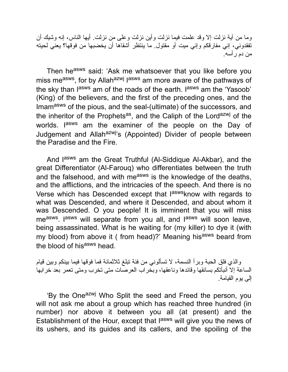وما من آیة نزلت إلا وقد علمت فیما نزلت وأین نزلت وعلى من نزلت. أیها الناس، إنه وشیك أن تفقدوني، إني مفارقكم وإني میت أو مقتول. ما ینتظر أشقاها أن یخضبها من فوقها؟ یعني لحیته من دم رأسه.

Then he<sup>asws</sup> said: 'Ask me whatsoever that you like before you miss measws, for by Allahazwj lasws am more aware of the pathways of the sky than l<sup>asws</sup> am of the roads of the earth. I<sup>asws</sup> am the 'Yasoob' (King) of the believers, and the first of the preceding ones, and the Imam<sup>asws</sup> of the pious, and the seal-(ultimate) of the successors, and the inheritor of the Prophets<sup>as</sup>, and the Caliph of the Lord<sup>azwj</sup> of the worlds. I<sup>asws</sup> am the examiner of the people on the Day of Judgement and Allah<sup>azwj</sup>'s (Appointed) Divider of people between the Paradise and the Fire.

And l<sup>asws</sup> am the Great Truthful (Al-Siddique Al-Akbar), and the great Differentiator (Al-Farouq) who differentiates between the truth and the falsehood, and with measws is the knowledge of the deaths, and the afflictions, and the intricacies of the speech. And there is no Verse which has Descended except that l<sup>asws</sup>know with regards to what was Descended, and where it Descended, and about whom it was Descended. O you people! It is imminent that you will miss me<sup>asws</sup>. I<sup>asws</sup> will separate from you all, and l<sup>asws</sup> will soon leave, being assassinated. What is he waiting for (my killer) to dye it (with my blood) from above it ( from head)?' Meaning his<sup>asws</sup> beard from the blood of his<sup>asws</sup> head.

والذي فلق الحبة وبرأ النسمة، لا تسألوني من فئة تبلغ ثلاثمائة فما فوقها فیما بینكم وبین قیام الساعة إلا أنبأتكم بسائقها وقائدها وناعقها، وبخراب العرصات متى تخرب ومتى تعمر بعد خرابها إلى یوم القیامة.

'By the One<sup>azwj</sup> Who Split the seed and Freed the person, you will not ask me about a group which has reached three hundred (in number) nor above it between you all (at present) and the Establishment of the Hour, except that l<sup>asws</sup> will give you the news of its ushers, and its guides and its callers, and the spoiling of the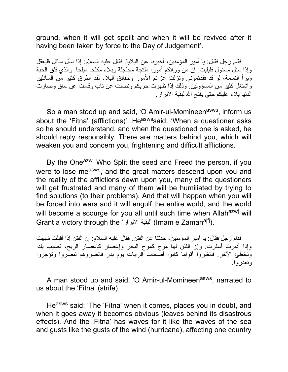ground, when it will get spoilt and when it will be revived after it having been taken by force to the Day of Judgement'.

فقام رجل فقال: یا أمیر المؤمنین، أخبرنا عن البلایا. فقال علیه السلام: إذا سأل سائل فلیعقل وإذا سئل مسئول فلیلبث. إن من ورائكم أمورا ملتجة مجلجلة وبلاء مكلحا مبلحا. والذي فلق الحبة وبرأ النسمة، لو قد فقدتموني ونزلت عزائم الأمور وحقائق البلاء لقد أطرق كثیر من السائلین واشتغل كثیر من المسؤولین. وذلك إذا ظهرت حربكم ونصلت عن ناب وقامت عن ساق وصارت الدنیا بلاء علیكم حتى یفتح االله لبقیة الأبرار.

So a man stood up and said, 'O Amir-ul-Momineen<sup>asws</sup>, inform us about the 'Fitna' (afflictions)'. He<sup>asws</sup>said: 'When a questioner asks so he should understand, and when the questioned one is asked, he should reply responsibly. There are matters behind you, which will weaken you and concern you, frightening and difficult afflictions.

By the One<sup>azwj</sup> Who Split the seed and Freed the person, if you were to lose me<sup>asws</sup>, and the great matters descend upon you and the reality of the afflictions dawn upon you, many of the questioners will get frustrated and many of them will be humiliated by trying to find solutions (to their problems). And that will happen when you will be forced into wars and it will engulf the entire world, and the world will become a scourge for you all until such time when Allahazwj will Grant a victory through the 'البقية الأبرار' (Imam e Zaman<sup>ajfj</sup>).

فقام رجل فقال: یا أمیر المؤمنین، حدثنا عن الفتن. فقال علیه السلام: إن الفتن إذا أقبلت شبهت وإذا أدبرت أسفرت. وإن الفتن لها موج كموج البحر وإعصار كإعصار الریح، تصیب بلدا وتخطئ الآخر. فانظروا أقواما كانوا أصحاب الرایات یوم بدر فانصروهم تنصروا وتؤجروا وتعذروا.

A man stood up and said, 'O Amir-ul-Momineen<sup>asws</sup>, narrated to us about the 'Fitna' (strife).

Heasws said: 'The 'Fitna' when it comes, places you in doubt, and when it goes away it becomes obvious (leaves behind its disastrous effects). And the 'Fitna' has waves for it like the waves of the sea and gusts like the gusts of the wind (hurricane), affecting one country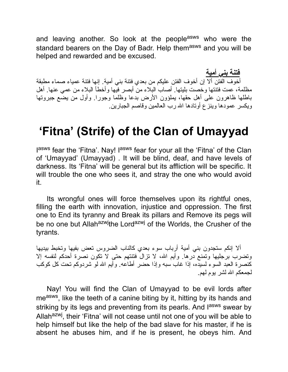and leaving another. So look at the people<sup>asws</sup> who were the standard bearers on the Day of Badr. Help themasws and you will be helped and rewarded and be excused.

**فتنة بني أمیة** أخوف الفتن ألا إن أخوف الفتن علیكم من بعدي فتنة بني أمیة. إنها فتنة عمیاء صماء مطبقة مظلمة، عمت فتنتها وخصت بلیتها. أصاب البلاء من أبصر فیها وأخطأ البلاء من عمي عنها. أهل باطلها ظاهرون على أهل حقها، یملؤون الأرض بدعا وظلما وجورا. وأول من یضع جبروتها ویكسر عمودها وینزع أوتادها االله رب العالمین وقاصم الجبارین.

#### **'Fitna' (Strife) of the Clan of Umayyad**

lasws fear the 'Fitna'. Nay! lasws fear for your all the 'Fitna' of the Clan of 'Umayyad' (Umayyad) . It will be blind, deaf, and have levels of darkness. Its 'Fitna' will be general but its affliction will be specific. It will trouble the one who sees it, and stray the one who would avoid it.

Its wrongful ones will force themselves upon its rightful ones, filling the earth with innovation, injustice and oppression. The first one to End its tyranny and Break its pillars and Remove its pegs will be no one but Allah<sup>azwj</sup>the Lord<sup>azwj</sup> of the Worlds, the Crusher of the tyrants.

ألا إنكم ستجدون بني أمیة أرباب سوء بعدي كالناب الضروس تعض بفیها وتخبط بیدیها وتضرب برجلیها وتمنع درها. وأیم االله، لا تزال فتنتهم حتى لا تكون نصرة أحدكم لنفسه إلا كنصرة العبد السوء لسیده، إذا غاب سبه وإذا حضر أطاعه. وأیم االله لو شردوكم تحت كل كوكب لجمعكم االله لشر یوم لهم.

Nay! You will find the Clan of Umayyad to be evil lords after me<sup>asws</sup>, like the teeth of a canine biting by it, hitting by its hands and striking by its legs and preventing from its pearls. And l<sup>asws</sup> swear by Allahazwj, their 'Fitna' will not cease until not one of you will be able to help himself but like the help of the bad slave for his master, if he is absent he abuses him, and if he is present, he obeys him. And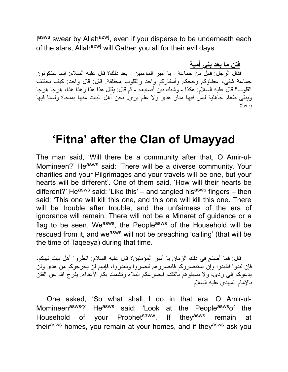lasws swear by Allah<sup>azwj</sup>, even if you disperse to be underneath each of the stars, Allah<sup>azwj</sup> will Gather you all for their evil days.

**فتن ما بعد بني أمیة** فقال الرجل: فهل من جماعة - یا أمیر المؤمنین - بعد ذلك؟ قال علیه السلام: إنها ستكونون جماعة شتى، عطاؤكم وحجكم وأسفاركم واحد والقلوب مختلفة. قال: قال واحد: كیف تختلف القلوب؟ قال علیه السلام: هكذا - وشبك بین أصابعه - ثم قال: یقتل هذا هذا وهذا هذا، هرجا هرجا ویبقى طغام جاهلیة لیس فیها منار هدى ولا علم یرى. نحن أهل البیت منها بمنجاة ولسنا فیها بدعاة.

#### **'Fitna' after the Clan of Umayyad**

The man said, 'Will there be a community after that, O Amir-ul-Momineen?' Heasws said: 'There will be a diverse community. Your charities and your Pilgrimages and your travels will be one, but your hearts will be different'. One of them said, 'How will their hearts be different?' He<sup>asws</sup> said: 'Like this' – and tangled his<sup>asws</sup> fingers – then said: 'This one will kill this one, and this one will kill this one. There will be trouble after trouble, and the unfairness of the era of ignorance will remain. There will not be a Minaret of guidance or a flag to be seen. We<sup>asws</sup>, the People<sup>asws</sup> of the Household will be rescued from it, and we<sup>asws</sup> will not be preaching 'calling' (that will be the time of Taqeeya) during that time.

قال: فما أصنع في ذلك الزمان یا أمیر المؤمنین؟ قال علیه السلام: انظروا أهل بیت نبیكم، فإن لبدوا فالبدوا وإن استنصروكم فانصروهم تنصروا وتعذروا، فإنهم لن یخرجوكم من هدى ولن یدعوكم إلى ردى، ولا تسبقوهم بالتقدم فیصرعكم البلاء وتشمت بكم الأعداء. یفرج االله عن الفتن بالإمام المهدي علیه السلام

One asked, 'So what shall I do in that era, O Amir-ul-Momineen<sup>asws</sup>?' He<sup>asws</sup> said: 'Look at the People<sup>asws</sup>of the Household of your Prophet<sup>saww</sup>. If they<sup>asws</sup> remain at their<sup>asws</sup> homes, you remain at your homes, and if they<sup>asws</sup> ask you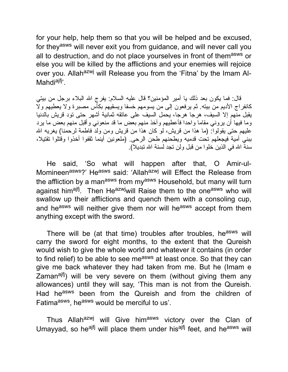for your help, help them so that you will be helped and be excused, for they<sup>asws</sup> will never exit you from guidance, and will never call you all to destruction, and do not place yourselves in front of them<sup>asws</sup> or else you will be killed by the afflictions and your enemies will rejoice over you. Allah<sup>azwj</sup> will Release you from the 'Fitna' by the Imam Al-Mahdi<sup>ajfj</sup>'.

قال: فما یكون بعد ذلك یا أمیر المؤمنین؟ قال علیه السلام: یفرج االله البلاء برجل من بیتي كانفراج الأدیم من بیته. ثم یرفعون إلى من یسومهم خسفا ویسقیهم بكأس مصبرة ولا یعطیهم ولا یقبل منهم إلا السیف، هرجا هرجا، یحمل السیف على عاتقه ثمانیة أشهر حتى تود قریش بالدنیا وما فیها أن یروني مقاما واحدا فأعطیهم وآخذ منهم بعض ما قد منعوني وأقبل منهم بعض ما یرد علیهم حتى یقولوا: (ما هذا من قریش، لو كان هذا من قریش ومن ولد فاطمة لرحمنا) یغریه االله ببني أمیة فیجعلهم تحت قدمیه ویطحنهم طحن الرحى. (ملعونین أینما ثقفوا أخذوا وقتلوا تقتیلا، سنة الله في الذین خلو ا من قبل و لن تجد لسنة الله تبدیلا).

He said, 'So what will happen after that, O Amir-ul-Momineen<sup>asws</sup>?' He<sup>asws</sup> said: 'Allah<sup>azwj</sup> will Effect the Release from the affliction by a man<sup>asws</sup> from my<sup>asws</sup> Household, but many will turn against him<sup>ajfj</sup>. Then He<sup>azwj</sup>will Raise them to the one<sup>asws</sup> who will swallow up their afflictions and quench them with a consoling cup, and he<sup>asws</sup> will neither give them nor will he<sup>asws</sup> accept from them anything except with the sword.

There will be (at that time) troubles after troubles, he<sup>asws</sup> will carry the sword for eight months, to the extent that the Qureish would wish to give the whole world and whatever it contains (in order to find relief) to be able to see measws at least once. So that they can give me back whatever they had taken from me. But he (Imam e Zaman<sup>ajfj</sup>) will be very severe on them (without giving them any allowances) until they will say, 'This man is not from the Qureish. Had he<sup>asws</sup> been from the Qureish and from the children of Fatima<sup>asws</sup>, he<sup>asws</sup> would be merciful to us'.

Thus Allah<sup>azwj</sup> will Give him<sup>asws</sup> victory over the Clan of Umayyad, so he<sup>ajfj</sup> will place them under his<sup>ajfj</sup> feet, and he<sup>asws</sup> will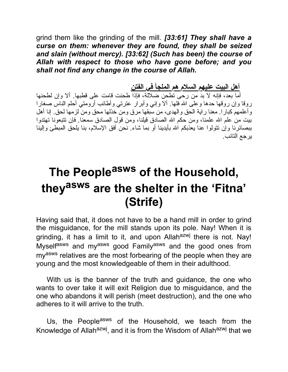grind them like the grinding of the mill. *[33:61] They shall have a curse on them: whenever they are found, they shall be seized and slain (without mercy). [33:62] (Such has been) the course of Allah with respect to those who have gone before; and you shall not find any change in the course of Allah.*

**أهل البیت علیهم السلام هم الملجأ في الفتن**

أما بعد، فإنه لا بد من رحى تطحن ضلالة، فإذا طحنت قامت على قطبها. ألا وإن لطحنها روقا وإن روقها حدها وعلى الله فلها. ألا وإني وأبرار عترتي وأطائب أرومتي أحلم الناس صغارا وأعلمهم كبارا. معنا رایة الحق والهدى، من سبقها مرق ومن خذلها محق ومن لزمها لحق. إنا أهل بیت من علم االله علمنا، ومن حكم االله الصادق قیلنا، ومن قول الصادق سمعنا. فإن تتبعونا تهتدوا ببصائرنا وإن تتولوا عنا یعذبكم االله بأیدینا أو بما شاء. نحن أفق الإسلام، بنا یلحق المبطئ وإلینا یرجع التائب.

## **The People asws of the Household, they asws are the shelter in the 'Fitna' (Strife)**

Having said that, it does not have to be a hand mill in order to grind the misguidance, for the mill stands upon its pole. Nay! When it is grinding, it has a limit to it, and upon Allah<sup>azwj</sup> there is not. Nay! Myselfasws and myasws good Familyasws and the good ones from my<sup>asws</sup> relatives are the most forbearing of the people when they are young and the most knowledgeable of them in their adulthood.

With us is the banner of the truth and guidance, the one who wants to over take it will exit Religion due to misguidance, and the one who abandons it will perish (meet destruction), and the one who adheres to it will arrive to the truth.

Us, the People<sup>asws</sup> of the Household, we teach from the Knowledge of Allah<sup>azwj</sup>, and it is from the Wisdom of Allah<sup>azwj</sup> that we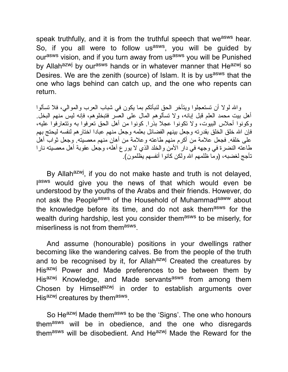speak truthfully, and it is from the truthful speech that we<sup>asws</sup> hear. So, if you all were to follow us<sup>asws</sup>, you will be guided by ourasws vision, and if you turn away from usasws you will be Punished by Allah<sup>azwj</sup> by our<sup>asws</sup> hands or in whatever manner that He<sup>azwj</sup> so Desires. We are the zenith (source) of Islam. It is by us<sup>asws</sup> that the one who lags behind can catch up, and the one who repents can return.

واالله لولا أن تستعجلوا ویتأخر الحق لنبأتكم بما یكون في شباب العرب والموالي، فلا تسألوا أهل بیت محمد العلم قبل إبانه، ولا تسألوهم المال على العسر فتبخلوهم، فإنه لیس منهم البخل. وكونوا أحلاس البیوت، ولا تكونوا عجلا بذرا. كونوا من أهل الحق تعرفوا به وتتعارفوا علیه، فإن الله خلق الخلق بقدرته وجعل بينهم الفضائل بعلمه وجعل منهم عبادا اختارهم لنفسه ليحتج بهم على خلقه. فجعل علامة من أكرم منهم طاعته وعلامة من أهان منهم معصیته. وجعل ثواب أهل طاعته النضرة في وجهه في دار الأمن والخلد الذي لا یورع أهله، وجعل عقوبة أهل معصیته نارا تأجج لغضبه، (وما ظلمهم االله ولكن كانوا أنفسهم یظلمون).

By Allah<sup>azwj</sup>, if you do not make haste and truth is not delayed, lasws would give you the news of that which would even be understood by the youths of the Arabs and their friends. However, do not ask the Peopleasws of the Household of Muhammadsaww about the knowledge before its time, and do not ask themasws for the wealth during hardship, lest you consider themasws to be miserly, for miserliness is not from them<sup>asws</sup>.

And assume (honourable) positions in your dwellings rather becoming like the wandering calves. Be from the people of the truth and to be recognised by it, for Allah<sup>azwj</sup> Created the creatures by His<sup>azwj</sup> Power and Made preferences to be between them by His<sup>azwj</sup> Knowledge, and Made servants<sup>asws</sup> from among them Chosen by Himselfazwj in order to establish arguments over His<sup>azwj</sup> creatures by them<sup>asws</sup>.

So He<sup>azwj</sup> Made them<sup>asws</sup> to be the 'Signs'. The one who honours themasws will be in obedience, and the one who disregards themasws will be disobedient. And Heazwj Made the Reward for the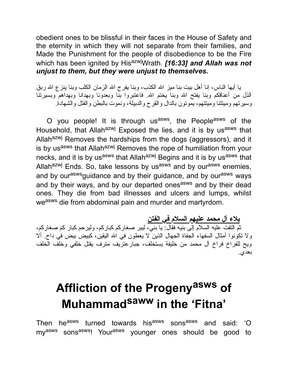obedient ones to be blissful in their faces in the House of Safety and the eternity in which they will not separate from their families, and Made the Punishment for the people of disobedience to be the Fire which has been ignited by His<sup>azwj</sup>Wrath. **[16:33] and Allah was not** *unjust to them, but they were unjust to themselves.*

یا أیها الناس، إنا أهل بیت بنا میز االله الكذب، وبنا یفرج االله الزمان الكلب وبنا ینزع االله ربق الذل من أعناقكم وبنا يفتح الله وبنا يختم الله. فاعتبروا بّنا وبعدونا وبهدانا وبهداهم وبسيرتنا وسیرتهم ومیتتنا ومیتتهم، یموتون بالدال والقرح والدبیلة، ونموت بالبطن والقتل والشهادة.

O you people! It is through us<sup>asws</sup>, the People<sup>asws</sup> of the Household, that Allah<sup>azwj</sup> Exposed the lies, and it is by us<sup>asws</sup> that Allah<sup>azwj</sup> Removes the hardships from the dogs (aggressors), and it is by usasws that Allahazwj Removes the rope of humiliation from your necks, and it is by us<sup>asws</sup> that Allah<sup>azwj</sup> Begins and it is by us<sup>asws</sup> that Allah<sup>azwj</sup> Ends. So, take lessons by us<sup>asws</sup> and by our<sup>asws</sup> enemies, and by our<sup>asws</sup>guidance and by their guidance, and by our<sup>asws</sup> ways and by their ways, and by our departed ones<sup>asws</sup> and by their dead ones. They die from bad illnesses and ulcers and lumps, whilst weasws die from abdominal pain and murder and martyrdom.

**بلاء آل محمد علیهم السلام في الفتن** ثم التفت علیه السلام إلى بنیه فقال: یا بني، لیبر صغاركم كباركم، ولیرحم كبار كم صغاركم، ولا تكونوا أمثال السفهاء الجفاة الجهال الذین لا یعطون في االله الیقین، كبیض بیض في داح. ألا ویح للفراخ فراخ آل محمد من خلیفة یستخلف، جبارعتریف مترف یقتل خلفي وخلف الخلف بعدي.

# **Affliction of the Progeny asws of Muhammad saww in the 'Fitna'**

Then he<sup>asws</sup> turned towards his<sup>asws</sup> sons<sup>asws</sup> and said: 'O my<sup>asws</sup> sons<sup>asws</sup>! Your<sup>asws</sup> younger ones should be good to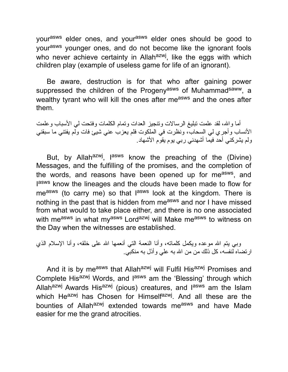yourasws elder ones, and yourasws elder ones should be good to yourasws younger ones, and do not become like the ignorant fools who never achieve certainty in Allah<sup>azwj</sup>, like the eggs with which children play (example of useless game for life of an ignorant).

Be aware, destruction is for that who after gaining power suppressed the children of the Progeny<sup>asws</sup> of Muhammad<sup>saww</sup>, a wealthy tyrant who will kill the ones after measws and the ones after them.

أما واالله، لقد علمت تبلیغ الرسالات وتنجیز العدات وتمام الكلمات وفتحت لي الأسباب وعلمت الأنساب وأجري لي السحاب، ونظرت في الملكوت فلم یعزب عني شیئ فات ولم یفتني ما سبقني ولم یشركني أحد فیما أشهدني ربي یوم یقوم الأشهاد.

But, by Allah<sup>azwj</sup>, l<sup>asws</sup> know the preaching of the (Divine) Messages, and the fulfilling of the promises, and the completion of the words, and reasons have been opened up for me<sup>asws</sup>, and lasws know the lineages and the clouds have been made to flow for me<sup>asws</sup> (to carry me) so that l<sup>asws</sup> look at the kingdom. There is nothing in the past that is hidden from me<sup>asws</sup> and nor I have missed from what would to take place either, and there is no one associated with measws in what myasws Lordazwj will Make measws to witness on the Day when the witnesses are established.

وبي يتم الله موعده ويكمل كلماته، وأنا النعمة التي أنعمها الله على خلقه، وأنا الإسلام الذي ارتضاه لنفسه، كل ذلك من من االله به علي وأذل به منكبي.

And it is by measws that Allahazwj will Fulfil Hisazwj Promises and Complete His<sup>azwj</sup> Words, and l<sup>asws</sup> am the 'Blessing' through which Allah<sup>azwj</sup> Awards His<sup>azwj</sup> (pious) creatures, and l<sup>asws</sup> am the Islam which He<sup>azwj</sup> has Chosen for Himself<sup>azwj</sup>. And all these are the bounties of Allah<sup>azwj</sup> extended towards me<sup>asws</sup> and have Made easier for me the grand atrocities.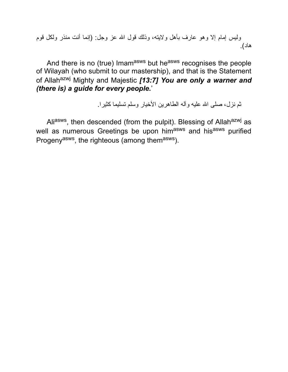ولیس إمام إلا وهو عارف بأهل ولایته، وذلك قول االله عز وجل: (إنما أنت منذر ولكل قوم هاد).

And there is no (true) Imamasws but heasws recognises the people of Wilayah (who submit to our mastership), and that is the Statement of Allah<sup>azwj</sup> Mighty and Majestic [13:7] You are only a warner and *(there is) a guide for every people.*'

ثم نزل، صلى االله علیه وآله الطاهرین الأخیار وسلم تسلیما كثیرا.

Ali<sup>asws</sup>, then descended (from the pulpit). Blessing of Allah<sup>azwj</sup> as well as numerous Greetings be upon himasws and hisasws purified Progeny<sup>asws</sup>, the righteous (among them<sup>asws</sup>).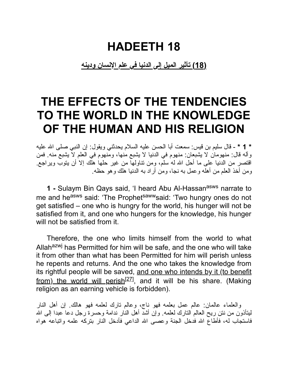#### **HADEETH 18**

**(18) تأثیر المیل إلى الدنیا في علم الإنسان ودینه**

#### **THE EFFECTS OF THE TENDENCIES TO THE WORLD IN THE KNOWLEDGE OF THE HUMAN AND HIS RELIGION**

**\* 1 \*** - قال سلیم بن قیس: سمعت أبا الحسن علیه السلام یحدثني ویقول: إن النبي صلى االله علیه وآله قال: منهومان لا یشبعان: منهوم في الدنیا لا یشبع منها، ومنهوم في العلم لا یشبع منه. فمن اقتصر من الدنیا على ما أحل االله له سلم، ومن تناولها من غیر حلها هلك إلا أن یتوب ویراجع. ومن أخذ العلم من أهله وعمل به نجا، ومن أراد به الدنیا هلك وهو حظه.

**1 -** Sulaym Bin Qays said, 'I heard Abu Al-Hassanasws narrate to me and he<sup>asws</sup> said: 'The Prophet<sup>saww</sup>said: 'Two hungry ones do not get satisfied – one who is hungry for the world, his hunger will not be satisfied from it, and one who hungers for the knowledge, his hunger will not be satisfied from it.

Therefore, the one who limits himself from the world to what Allah<sup>azwj</sup> has Permitted for him will be safe, and the one who will take it from other than what has been Permitted for him will perish unless he repents and returns. And the one who takes the knowledge from its rightful people will be saved, and one who intends by it (to benefit from) the world will perish<sup>[27]</sup>, and it will be his share. (Making religion as an earning vehicle is forbidden).

والعلماء عالمان: عالم عمل بعلمه فهو ناج، وعالم تارك لعلمه فهو هالك. إن أهل النار ليتأذون من نتن ريح العالم التارك لعلمه. وإن أشدَّ أهل النَّار ندامة وحسرة رجل دعا عبدا إلى الله فاستجاب له، فأطاع االله فدخل الجنة وعصى االله الداعي فأدخل النار بتركه علمه واتباعه هواه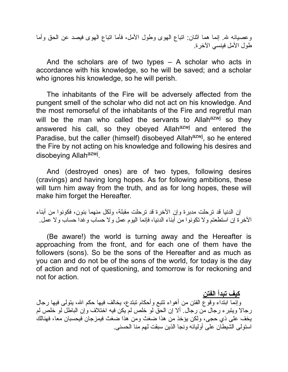وعصیانه الله. إنما هما اثنان: اتباع الهوى وطول الأمل، فأما اتباع الهوى فیصد عن الحق وأما طول الأمل فینسي الآخرة.

And the scholars are of two types – A scholar who acts in accordance with his knowledge, so he will be saved; and a scholar who ignores his knowledge, so he will perish.

The inhabitants of the Fire will be adversely affected from the pungent smell of the scholar who did not act on his knowledge. And the most remorseful of the inhabitants of the Fire and regretful man will be the man who called the servants to Allah<sup>azwj</sup> so they answered his call, so they obeyed Allah<sup>azwj</sup> and entered the Paradise, but the caller (himself) disobeyed Allah<sup>azwj</sup>, so he entered the Fire by not acting on his knowledge and following his desires and disobeying Allah<sup>azwj</sup>.

And (destroyed ones) are of two types, following desires (cravings) and having long hopes. As for following ambitions, these will turn him away from the truth, and as for long hopes, these will make him forget the Hereafter.

إن الدنیا قد ترحلت مدبرة وإن الآخرة قد ترحلت مقبلة، ولكل منهما بنون، فكونوا من أبناء الآخرة إن استطعتم ولا تكونوا من أبناء الدنیا، فإنما الیوم عمل ولا حساب وغدا حساب ولا عمل.

(Be aware!) the world is turning away and the Hereafter is approaching from the front, and for each one of them have the followers (sons). So be the sons of the Hereafter and as much as you can and do not be of the sons of the world, for today is the day of action and not of questioning, and tomorrow is for reckoning and not for action.

**كیف تبدأ الفتن** وإنما ابتداء وقوع الفتن من أهواء تتبع وأحكام تبتدع، یخالف فیها حكم االله، یتولى فیها رجال رجالا ویتبرء رجال من رجال. ألا إن الحق لو خلص لم یكن فیه اختلاف وإن الباطل لو خلص لم یخف على ذي حجى، ولكن یؤخذ من هذا ضغث ومن هذا ضغث فیمزجان فیحسبان معا، فهنالك استولى الشیطان على أولیائه ونجا الذین سبقت لهم منا الحسنى.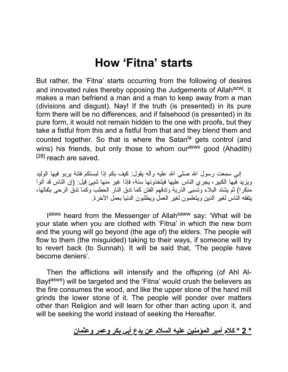#### **How 'Fitna' starts**

But rather, the 'Fitna' starts occurring from the following of desires and innovated rules thereby opposing the Judgements of Allah<sup>azwj</sup>. It makes a man befriend a man and a man to keep away from a man (divisions and disgust). Nay! If the truth (is presented) in its pure form there will be no differences, and if falsehood (is presented) in its pure form, it would not remain hidden to the one with proofs, but they take a fistful from this and a fistful from that and they blend them and counted together. So that is where the Satan<sup>la</sup> gets control (and wins) his friends, but only those to whom our<sup>asws</sup> good (Ahadith)  $[28]$  reach are saved.

إني سمعت رسول االله صلى االله علیه وآله یقول: كیف بكم إذا لبستكم فتنة یربو فیها الولید ویزید فیها الكبیر، یجري الناس علیها فیتخذونها سنة، فإذا غیر منها شیئ قیل: (إن الناس قد أتوا منكرا) ثم یشتد البلاء وتسبى الذریة وتدقهم الفتن كما تدق النار الحطب وكما تدق الرحى بثفالها، یتفقه الناس لغیر الدین ویتعلمون لغیر العمل ویطلبون الدنیا بعمل الآخرة.

lasws heard from the Messenger of Allah<sup>saww</sup> say: 'What will be your state when you are clothed with 'Fitna' in which the new born and the young will go beyond (the age of) the elders. The people will flow to them (the misguided) taking to their ways, if someone will try to revert back (to Sunnah). It will be said that, 'The people have become deniers'.

Then the afflictions will intensify and the offspring (of Ahl Al-Bayt<sup>asws</sup>) will be targeted and the 'Fitna' would crush the believers as the fire consumes the wood, and like the upper stone of the hand mill grinds the lower stone of it. The people will ponder over matters other than Religion and will learn for other than acting upon it, and will be seeking the world instead of seeking the Hereafter.

**\* 2 \* كلام أمیر المؤمنین علیه السلام عن بدع أبي بكر وعمر وعثمان**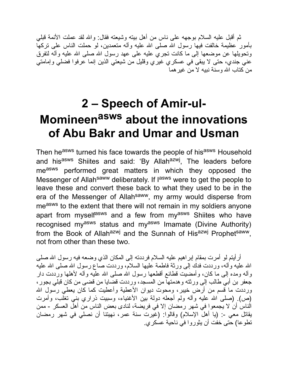ثم أقبل علیه السلام بوجهه على ناس من أهل بیته وشیعته فقال: واالله لقد عملت الأئمة قبلي بأمور عظیمة خالفت فیها رسول االله صلى االله علیه وآله متعمدین، لو حملت الناس على تركها وتحویلها عن موضعها إلى ما كانت تجري علیه على عهد رسول الله صلى الله علیه وآله لتفرق عني جندي، حتى لا یبقى في عسكري غیري وقلیل من شیعتي الذین إنما عرفوا فضلي وإمامتي من كتاب االله وسنة نبیه لا من غیرهما

## **2 – Speech of Amir-ul-Momineen asws about the innovations of Abu Bakr and Umar and Usman**

Then he<sup>asws</sup> turned his face towards the people of his<sup>asws</sup> Household and his<sup>asws</sup> Shiites and said: 'By Allah<sup>azwj</sup>, The leaders before measws performed great matters in which they opposed the Messenger of Allah<sup>saww</sup> deliberately. If lasws were to get the people to leave these and convert these back to what they used to be in the era of the Messenger of Allah<sup>saww</sup>, my army would disperse from measws to the extent that there will not remain in my soldiers anyone apart from myselfasws and a few from myasws Shiites who have recognised my<sup>asws</sup> status and my<sup>asws</sup> Imamate (Divine Authority) from the Book of Allah<sup>azwj</sup> and the Sunnah of His<sup>azwj</sup> Prophet<sup>saww</sup>, not from other than these two.

أرأیتم لو أمرت بمقام إبراهیم علیه السلام فرددته إلى المكان الذي وضعه فیه رسول االله صلى االله علیه وآله، ورددت فدك إلى ورثة فاطمة علیها السلام، ورددت صاع رسول االله صلى االله علیه وآله ومده إلى ما كان، وأمضیت قطائع أقطعها رسول االله صلى االله علیه وآله لأهلها ورددت دار جعفر بن أبي طالب إلى ورثته وهدمتها من المسجد، ورددت قضایا من قضى من كان قبلي بجور، ورددت ما قسم من أرض خیبر، ومحوت دیوان الأعطیة وأعطیت كما كان یعطي رسول االله (ص). (صلى االله علیه وآله ولم أجعله دولة بین الأغنیاء، وسبیت ذراري بني تغلب، وأمرت الناس أن لا یجمعوا في شهر رمضان إلا في فریضة، لنادى بعض الناس من أهل العسكر - ممن یقاتل معي :- (یا أهل الإسلام) وقالوا: (غیرت سنة عمر، نهیتنا أن نصلي في شهر رمضان تطوعا) حتى خفت أن یثوروا في ناحیة عسكري.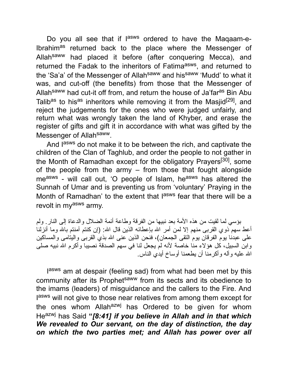Do you all see that if l<sup>asws</sup> ordered to have the Maqaam-e-Ibrahimas returned back to the place where the Messenger of Allahsaww had placed it before (after conquering Mecca), and returned the Fadak to the inheritors of Fatima<sup>asws</sup>, and returned to the 'Sa'a' of the Messenger of Allah<sup>saww</sup> and his<sup>saww</sup> 'Mudd' to what it was, and cut-off (the benefits) from those that the Messenger of Allah<sup>saww</sup> had cut-it off from, and return the house of Ja'far<sup>as</sup> Bin Abu Talib<sup>as</sup> to his<sup>as</sup> inheritors while removing it from the Masjid<sup>[29]</sup>, and reject the judgements for the ones who were judged unfairly, and return what was wrongly taken the land of Khyber, and erase the register of gifts and gift it in accordance with what was gifted by the Messenger of Allah<sup>saww</sup>.

And lasws do not make it to be between the rich, and captivate the children of the Clan of Taghlub, and order the people to not gather in the Month of Ramadhan except for the obligatory Prayers<sup>[30]</sup>, some of the people from the army – from those that fought alongside me<sup>asws</sup> - will call out, 'O people of Islam, he<sup>asws</sup> has altered the Sunnah of Umar and is preventing us from 'voluntary' Praying in the Month of Ramadhan' to the extent that l<sup>asws</sup> fear that there will be a revolt in myasws army.

بؤسي لما لقیت من هذه الأمة بعد نبیها من الفرقة وطاعة أئمة الضلال والدعاة إلى النار. ولم أعط سهم ّذوي القربى منهم إلا لمن أمر الله بإعطائه الذین قال الله: (إن كنتم آمنتم بالله وما أنزلناً على عبدنا یوم الفرقان یوم التقى الجمعان)، فنحن الذین عنى االله بذي القربى والیتامى والمساكین وابن السبیل، كل هؤلاء منا خاصة لأنه لم یجعل لنا في سهم الصدقة نصیبا وأكرم االله نبیه صلى االله علیه وآله وأكرمنا أن یطعمنا أوساخ أیدي الناس.

lasws am at despair (feeling sad) from what had been met by this community after its Prophet<sup>saww</sup> from its sects and its obedience to the imams (leaders) of misguidance and the callers to the Fire. And lasws will not give to those near relatives from among them except for the ones whom Allah<sup>azwj</sup> has Ordered to be given for whom Heazwj has Said **"***[8:41] if you believe in Allah and in that which We revealed to Our servant, on the day of distinction, the day on which the two parties met; and Allah has power over all*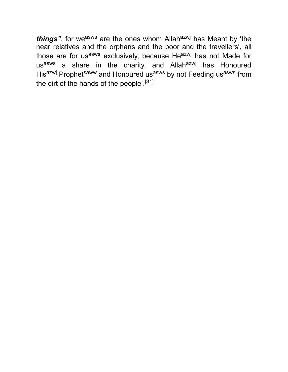things", for we<sup>asws</sup> are the ones whom Allah<sup>azwj</sup> has Meant by 'the near relatives and the orphans and the poor and the travellers', all those are for usasws exclusively, because Heazwj has not Made for us<sup>asws</sup> a share in the charity, and Allah<sup>azwj</sup> has Honoured Hisazwj Prophetsaww and Honoured usasws by not Feeding usasws from the dirt of the hands of the people'.[31]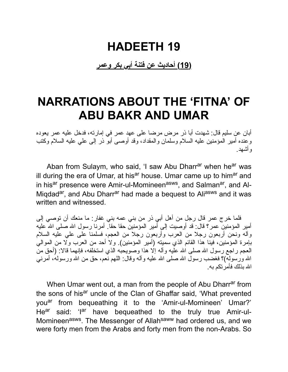#### **HADEETH 19**

**(19) أحادیث عن فتنة أبي بكر وعمر**

#### **NARRATIONS ABOUT THE 'FITNA' OF ABU BAKR AND UMAR**

أبان عن سلیم قال: شهدت أبا ذر مرض مرضا على عهد عمر في إمارته، فدخل علیه عمر یعوده وعنده أمیر المؤمنین علیه السلام وسلمان والمقداد، وقد أوصى أبو ذر إلى علي علیه السلام وكتب وأشهد.

Aban from Sulaym, who said, 'I saw Abu Dharr<sup>ar</sup> when he<sup>ar</sup> was ill during the era of Umar, at his<sup>ar</sup> house. Umar came up to him<sup>ar</sup> and in his<sup>ar</sup> presence were Amir-ul-Momineen<sup>asws</sup>, and Salman<sup>ar</sup>, and Al-Miqdad<sup>ar</sup>, and Abu Dharr<sup>ar</sup> had made a bequest to Ali<sup>asws</sup> and it was written and witnessed.

فلما خرج عمر قال رجل من أهل أبي ذر من بني عمه بني غفار: ما منعك أن توصي إلى أمیر المؤمنین عمر؟ قال: قد أوصیت إلى أُمیر المؤمنین حقا حقاً. أمرنا رسول الله صلى الله علیه وآله ونحن أربعون رجلا من العرب وأربعون رجلا من العجم، فسلمنا على علي علیه السلام بإمرة المؤمنین، فینا هذا القائم الذي سمیته (أمیر المؤمنین). ولا أحد من العرب ولا من الموالي العجم راجع رسول الله صلى الله علیه وآله إلا هذا وصویحبه الذي استخلفه، فإنهما قالا: (أحق من الله ورسوله)؟ فغضب رسول الله صلى الله علیه وآله وقال: اللهم نعم، حق من الله ورسوله، أمرنـي االله بذلك فأمرتكم به.

When Umar went out, a man from the people of Abu Dharr<sup>ar</sup> from the sons of his<sup>ar</sup> uncle of the Clan of Ghaffar said, 'What prevented you<sup>ar</sup> from bequeathing it to the 'Amir-ul-Momineen' Umar?' He<sup>ar</sup> said: 'I<sup>ar</sup> have bequeathed to the truly true Amir-ul-Momineen<sup>asws</sup>. The Messenger of Allah<sup>saww</sup> had ordered us, and we were forty men from the Arabs and forty men from the non-Arabs. So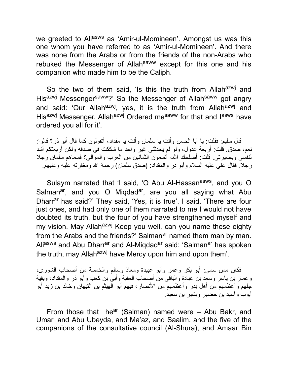we greeted to Aliasws as 'Amir-ul-Momineen'. Amongst us was this one whom you have referred to as 'Amir-ul-Momineen'. And there was none from the Arabs or from the friends of the non-Arabs who rebuked the Messenger of Allahsaww except for this one and his companion who made him to be the Caliph.

So the two of them said, 'Is this the truth from Allah<sup>azwj</sup> and Hisazwj Messengersaww?' So the Messenger of Allahsaww got angry and said: 'Our Allah<sup>azwj</sup>, yes, it is the truth from Allah<sup>azwj</sup> and His<sup>azwj</sup> Messenger. Allah<sup>azwj</sup> Ordered me<sup>saww</sup> for that and l<sup>asws</sup> have ordered you all for it'.

قال سلیم: فقلت: یا أبا الحسن وأنت یا سلمان وأنت یا مقداد، أتقولون كما قال أبو ذر؟ قالوا: نعم، صدق. قلت: أربعة عدول، ولو لم یحدثني غیر واحد ما شككت في صدقه ولكن أربعتكم أشد لنفسي وبصیرتي. قلت: أصلحك االله، أتسمون الثمانین من العرب والموالي؟ فسماهم سلمان رجلا رجلا. فقال علي علیه السلام وأبو ذر والمقداد: (صدق سلمان) رحمة االله ومغفرته علیه وعلیهم.

Sulaym narrated that 'I said, 'O Abu Al-Hassan<sup>asws</sup>, and you O Salman<sup>ar</sup>, and you O Miqdad<sup>ar</sup>, are you all saying what Abu Dharr<sup>ar</sup> has said?' They said, 'Yes, it is true'. I said, 'There are four just ones, and had only one of them narrated to me I would not have doubted its truth, but the four of you have strengthened myself and my vision. May Allah<sup>azwj</sup> Keep you well, can you name these eighty from the Arabs and the friends?' Salman<sup>ar</sup> named them man by man. Aliasws and Abu Dharrar and Al-Miqdadar said: 'Salmanar has spoken the truth, may Allah<sup>azwj</sup> have Mercy upon him and upon them'.

فكان ممن سمى: أبو بكر وعمر وأبو عبیدة ومعاذ وسالم والخمسة من أصحاب الشورى، وعمار بن یاسر وسعد بن عبادة والباقي من أصحاب العقبة وأبي بن كعب وأبو ذر والمقداد، وبقیة جلهم وأعظمهم من أهل بدر وأعظمهم من الأنصار، فیهم أبو الهیثم بن التیهان وخالد بن زید أبو أیوب وأسید بن حضیر وبشیر بن سعید.

From those that he<sup>ar</sup> (Salman) named were  $-$  Abu Bakr, and Umar, and Abu Ubeyda, and Ma'az, and Saalim, and the five of the companions of the consultative council (Al-Shura), and Amaar Bin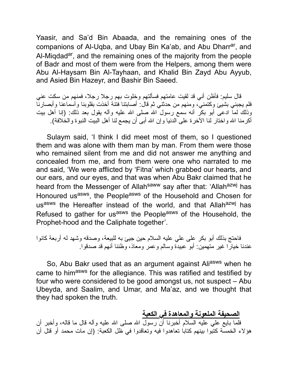Yaasir, and Sa'd Bin Abaada, and the remaining ones of the companions of Al-Uqba, and Ubay Bin Ka'ab, and Abu Dharr<sup>ar</sup>, and Al-Miqdad<sup>ar</sup>, and the remaining ones of the majority from the people of Badr and most of them were from the Helpers, among them were Abu Al-Haysam Bin Al-Tayhaan, and Khalid Bin Zayd Abu Ayyub, and Asied Bin Hazeyr, and Bashir Bin Saeed.

قال سلیم: فأظن أني قد لقیت عامتهم فسألتهم وخلوت بهم رجلا رجلا، فمنهم من سكت عني فلم یجبني بشیئ وكتمني، ومنهم من حدثني ثم قال: أصابتنا فتنة أخذت بقلوبنا وأسماعنا وأبصارنا وذلك لماً ادعى أبو بكر أنه سمع رسول الله صلى الله علیه وآله یقول بعد ذلك: (إنا أهل بیت أكرمنا الله واختار لنا الآخرة على الدنیا وإن الله أبى أن یجمع لنا أهل البیت النبوة والخلافة).

Sulaym said, 'I think I did meet most of them, so I questioned them and was alone with them man by man. From them were those who remained silent from me and did not answer me anything and concealed from me, and from them were one who narrated to me and said, 'We were afflicted by 'Fitna' which grabbed our hearts, and our ears, and our eyes, and that was when Abu Bakr claimed that he heard from the Messenger of Allah<sup>saww</sup> say after that: 'Allah<sup>azwj</sup> has Honoured us<sup>asws</sup>, the People<sup>asws</sup> of the Household and Chosen for usasws the Hereafter instead of the world, and that Allahazwj has Refused to gather for us<sup>asws</sup> the People<sup>asws</sup> of the Household, the Prophet-hood and the Caliphate together'.

فاحتج بذلك أبو بكر على علي علیه السلام حین جیئ به للبیعة، وصدقه وشهد له أربعة كانوا عندنا خیارا غیر متهمین: أبو عبیدة وسالم وعمر ومعاذ، وظننا أنهم قد صدقوا.

So, Abu Bakr used that as an argument against Aliasws when he came to himasws for the allegiance. This was ratified and testified by four who were considered to be good amongst us, not suspect – Abu Ubeyda, and Saalim, and Umar, and Ma'az, and we thought that they had spoken the truth.

**الصحیفة الملعونة والمعاهدة في الكعبة** فلما بایع علي علیه السلام أخبرنا أن رسول االله صلى االله علیه وآله قال ما قاله، وأخبر أن هؤلاء الخمسة كتبوا بینهم كتابا تعاهدوا فیه وتعاقدوا في ظل الكعبة: (إن مات محمد أو قتل أن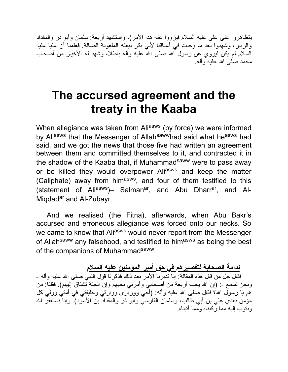یتظاهروا على علي علیه السلام فیزووا عنه هذا الأمر)، واستشهد أربعة: سلمان وأبو ذر والمقداد والزبیر، وشهدوا بعد ما وجبت في أعناقنا لأبي بكر بیعته الملعونة الضالة. فعلمنا أن علیا علیه السلام لم یكن لیروي عن رسول االله صلى االله علیه وآله باطلا، وشهد له الأخیار من أصحاب محمد صلى االله علیه وآله.

# **The accursed agreement and the treaty in the Kaaba**

When allegiance was taken from Aliasws (by force) we were informed by Ali<sup>asws</sup> that the Messenger of Allah<sup>saww</sup>had said what he<sup>asws</sup> had said, and we got the news that those five had written an agreement between them and committed themselves to it, and contracted it in the shadow of the Kaaba that, if Muhammad<sup>saww</sup> were to pass away or be killed they would overpower Aliasws and keep the matter (Caliphate) away from him<sup>asws</sup>, and four of them testified to this (statement of Ali<sup>asws</sup>)– Salman<sup>ar</sup>, and Abu Dharr<sup>ar</sup>, and Al-Migdadar and Al-Zubayr.

And we realised (the Fitna), afterwards, when Abu Bakr's accursed and erroneous allegiance was forced onto our necks. So we came to know that Aliasws would never report from the Messenger of Allah<sup>saww</sup> any falsehood, and testified to him<sup>asws</sup> as being the best of the companions of Muhammad<sup>saww</sup>.

**ندامة الصحابة لتقصیرهم في حق أمیر المؤمنین علیه السلام** فقال جل من قال هذه المقالة: إنا تدبرنا الأمر بعد ذلك فذكرنا قول النبي صلى االله علیه وآله - ونحن نسمع -: (إن الله يحب أربعة من أصحابي وأمرني بحبهم وإن الجنة تشتاق إليهم). فقلنا: من هم یا رسول الله؟ فقال صلـي الله علیه وألـه: (أَخـَى ووزَیري ووَّارِثـي وخلیفتـي فـي أمتـيّ وولـي كل مؤمن بعدي علي بن أبي طالب، وسلمان الفارسي وأبو ذر والمقداد بن الأسود). وإنا نستغفر الله ونتوب إلیه مما ركبناه ومما أتیناه.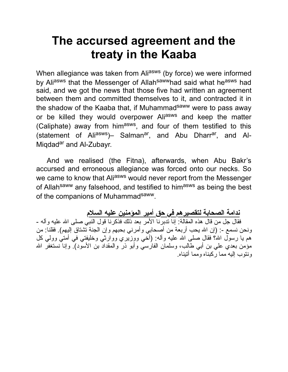# **The accursed agreement and the treaty in the Kaaba**

When allegiance was taken from Aliasws (by force) we were informed by Aliasws that the Messenger of Allah<sup>saww</sup>had said what he<sup>asws</sup> had said, and we got the news that those five had written an agreement between them and committed themselves to it, and contracted it in the shadow of the Kaaba that, if Muhammad<sup>saww</sup> were to pass away or be killed they would overpower Aliasws and keep the matter (Caliphate) away from him<sup>asws</sup>, and four of them testified to this (statement of Ali<sup>asws</sup>)– Salman<sup>ar</sup>, and Abu Dharr<sup>ar</sup>, and Al-Migdad<sup>ar</sup> and Al-Zubayr.

And we realised (the Fitna), afterwards, when Abu Bakr's accursed and erroneous allegiance was forced onto our necks. So we came to know that Aliasws would never report from the Messenger of Allah<sup>saww</sup> any falsehood, and testified to himasws as being the best of the companions of Muhammad<sup>saww</sup>.

**ندامة الصحابة لتقصیرهم في حق أمیر المؤمنین علیه السلام** فقال جل من قال هذه المقالة: إنا تدبرنا الأمر بعد ذلك فذكرنا قول النبي صلى االله علیه وآله - ونحن نسمع -: (إن الله يحب أربعة من أصحابي وأمرني بحبهم وإن الجنة تشتاق إليهم). فقلنا: من هم یا رسول الله؟ فقال صلـي الله علیه وألـه: (أَخي ووزَیري ووَّارِثـي وخلیفتـي فـي أمتـيّ وولـي كل مؤمن بعدي علي بن أبي طالب، وسلمان الفارسي وأبو ذر والمقداد بن الأسود). وإنا نستغفر االله ونتوب إلیه مما ركبناه ومما أتیناه.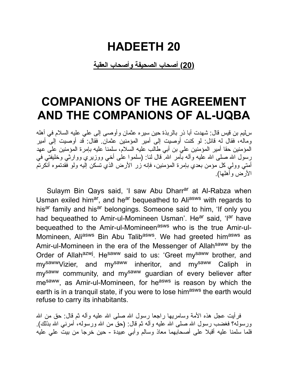#### **HADEETH 20**

**(20) أصحاب الصحیفة وأصحاب العقبة**

### **COMPANIONS OF THE AGREEMENT AND THE COMPANIONS OF AL-UQBA**

سلیم بن قیس قال: شهدت أبا ذر بالربذة حین سیره عثمان وأوصى إلى علي علیه السلام في أهله وماله، فقال له قائل: لو كنت أوصیت إلى أمیر المؤمنین عثمان. فقال: قد أوصیت إلى أمیر المؤمنین حقا أمیر المؤمنین علي بن أبي طالب علیه السلام، سلمنا علیه بإمرة المؤمنین على عهد رسول الله صلى الله علیه وآله بأمر الله قال لنا: (سلموا على أخي ووزیري ووارثي وخلیفتي في أمتي وولي كل مؤمن بعدي بإمرة المؤمنین، فإنه زر الأرض الذي تسكن إلیه ولو فقدتموه أنكرتم الأرض وأهلها).

Sulaym Bin Qays said, 'I saw Abu Dharr<sup>ar</sup> at Al-Rabza when Usman exiled him<sup>ar</sup>, and he<sup>ar</sup> bequeathed to Ali<sup>asws</sup> with regards to his<sup>ar</sup> family and his<sup>ar</sup> belongings. Someone said to him, 'If only you had bequeathed to Amir-ul-Momineen Usman'. He<sup>ar</sup> said, 'I<sup>ar</sup> have bequeathed to the Amir-ul-Momineenasws who is the true Amir-ul-Momineen, Ali<sup>asws</sup> Bin Abu Talib<sup>asws</sup>. We had greeted him<sup>asws</sup> as Amir-ul-Momineen in the era of the Messenger of Allahsaww by the Order of Allah<sup>azwj</sup>. He<sup>saww</sup> said to us: 'Greet my<sup>saww</sup> brother, and my<sup>saww</sup>Vizier, and my<sup>saww</sup> inheritor, and my<sup>saww</sup> Caliph in my<sup>saww</sup> community, and my<sup>saww</sup> guardian of every believer after mesaww, as Amir-ul-Momineen, for heasws is reason by which the earth is in a tranquil state, if you were to lose him<sup>asws</sup> the earth would refuse to carry its inhabitants.

فرأیت عجل هذه الأمة وسامریها راجعا رسول االله صلى االله علیه وآله ثم قال: حق من االله ورسوله؟ فغضب رسول الله صلى الله عليه وأله ثم قال: (حق من الله ورسوله، أمرنـي الله بذلك). فلما سلمنا علیه أقبلا على أصحابهما معاذ وسالم وأبي عبیدة - حین خرجا من بیت علي علیه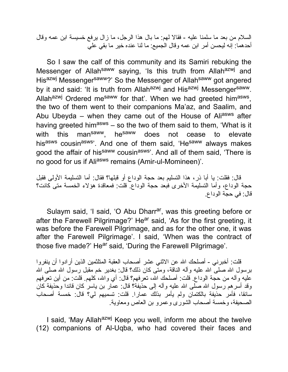السلام من بعد ما سلمنا علیه - فقالا لهم: ما بال هذا الرجل، ما زال یرفع خسیسة ابن عمه وقال أحدهما: إنه لیحسن أمر ابن عمه وقال الجمیع: ما لنا عنده خیر ما بقي علي

So I saw the calf of this community and its Samiri rebuking the Messenger of Allah<sup>saww</sup> saying, 'Is this truth from Allah<sup>azwj</sup> and Hisazwj Messengersaww?' So the Messenger of Allahsaww got angered by it and said: 'It is truth from Allahazwj and Hisazwj Messengersaww. Allah<sup>azwj</sup> Ordered me<sup>saww</sup> for that'. When we had greeted him<sup>asws</sup>, the two of them went to their companions Ma'az, and Saalim, and Abu Ubeyda – when they came out of the House of Aliasws after having greeted him<sup>asws</sup> – so the two of them said to them, 'What is it with this man<sup>saww</sup>, he<sup>saww</sup> does not cease to elevate hisasws cousinasws<sup>'</sup>. And one of them said, 'He<sup>saww</sup> always makes good the affair of his<sup>saww</sup> cousinasws<sup>3</sup>. And all of them said, 'There is no good for us if Ali<sup>asws</sup> remains (Amir-ul-Momineen)'.

قال: فقلت: یا أبا ذر، هذا التسلیم بعد حجة الوداع أو قبلها؟ فقال: أما التسلیمة الأولى فقبل حجة الوداع، وأما التسلیمة الأخرى فبعد حجة الوداع. قلت: فمعاقدة هؤلاء الخمسة متى كانت؟ قال: في حجة الوداع.

Sulaym said, 'I said, 'O Abu Dharr<sup>ar</sup>, was this greeting before or after the Farewell Pilgrimage?' He<sup>ar</sup> said, 'As for the first greeting, it was before the Farewell Pilgrimage, and as for the other one, it was after the Farewell Pilgrimage'. I said, 'When was the contract of those five made?' He<sup>ar</sup> said, 'During the Farewell Pilgrimage'.

قلت: أخبرني - أصلحك االله عن الاثني عشر أصحاب العقبة المتلثمین الذین أرادوا أن ینفروا برسول الله صلَّى الله علیه وآله الناقة، ومتَّى كان ذلك؟ قال: بغدیر خم مقبل رسول الله صلَّى الله علیه وآله من حجة الوداع. قلت: أصلحك االله، تعرفهم؟ قال: أي واالله، كلهم. قلت: من أین تعرفهم وقد أسرهم رسول الله صلَّى الله علیه وآله إلى حذیفة؟ قال: عمَّار بن یاسر كان قائدا وحذیفة كان سائقا، فأمر حذیفة بالكتمان ولم یأمر بذلك عمارا. قلت: تسمیهم لي؟ قال: خمسة أصحاب الصحیفة، وخمسة أصحاب الشورى وعمرو بن العاص ومعاویة.

I said, 'May Allah<sup>azwj</sup> Keep you well, inform me about the twelve (12) companions of Al-Uqba, who had covered their faces and